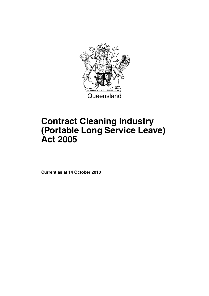

# **Contract Cleaning Industry (Portable Long Service Leave) Act 2005**

**Current as at 14 October 2010**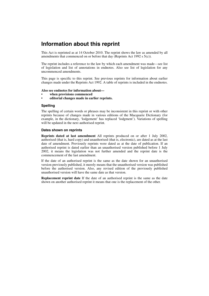## **Information about this reprint**

This Act is reprinted as at 14 October 2010. The reprint shows the law as amended by all amendments that commenced on or before that day (Reprints Act 1992 s 5(c)).

The reprint includes a reference to the law by which each amendment was made—see list of legislation and list of annotations in endnotes. Also see list of legislation for any uncommenced amendments.

This page is specific to this reprint. See previous reprints for information about earlier changes made under the Reprints Act 1992. A table of reprints is included in the endnotes.

#### **Also see endnotes for information about—**

- **when provisions commenced**
- **editorial changes made in earlier reprints.**

#### **Spelling**

The spelling of certain words or phrases may be inconsistent in this reprint or with other reprints because of changes made in various editions of the Macquarie Dictionary (for example, in the dictionary, 'lodgement' has replaced 'lodgment'). Variations of spelling will be updated in the next authorised reprint.

#### **Dates shown on reprints**

**Reprints dated at last amendment** All reprints produced on or after 1 July 2002, authorised (that is, hard copy) and unauthorised (that is, electronic), are dated as at the last date of amendment. Previously reprints were dated as at the date of publication. If an authorised reprint is dated earlier than an unauthorised version published before 1 July 2002, it means the legislation was not further amended and the reprint date is the commencement of the last amendment.

If the date of an authorised reprint is the same as the date shown for an unauthorised version previously published, it merely means that the unauthorised version was published before the authorised version. Also, any revised edition of the previously published unauthorised version will have the same date as that version.

**Replacement reprint date** If the date of an authorised reprint is the same as the date shown on another authorised reprint it means that one is the replacement of the other.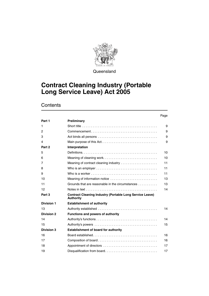

**Queensland** 

## **Contract Cleaning Industry (Portable Long Service Leave) Act 2005**

## **Contents**

#### Page

| Part 1            | Preliminary                                                                                        |    |
|-------------------|----------------------------------------------------------------------------------------------------|----|
| 1                 |                                                                                                    | 9  |
| 2                 | $Commonement \ldots \ldots \ldots \ldots \ldots \ldots \ldots \ldots \ldots \ldots \ldots$         | 9  |
| 3                 |                                                                                                    | 9  |
| 4                 |                                                                                                    | 9  |
| Part 2            | Interpretation                                                                                     |    |
| 5                 |                                                                                                    | 10 |
| 6                 |                                                                                                    | 10 |
| 7                 | Meaning of contract cleaning industry                                                              | 11 |
| 8                 | Who is an employer $\ldots \ldots \ldots \ldots \ldots \ldots \ldots \ldots \ldots \ldots$         | 11 |
| 9                 | Who is a worker $\dots\dots\dots\dots\dots\dots\dots\dots\dots\dots\dots\dots\dots\dots\dots\dots$ | 11 |
| 10                |                                                                                                    | 13 |
| 11                | Grounds that are reasonable in the circumstances                                                   | 13 |
| 12                |                                                                                                    | 14 |
| Part 3            | <b>Contract Cleaning Industry (Portable Long Service Leave)</b><br><b>Authority</b>                |    |
| <b>Division 1</b> | <b>Establishment of authority</b>                                                                  |    |
| 13                |                                                                                                    | 14 |
| <b>Division 2</b> | <b>Functions and powers of authority</b>                                                           |    |
| 14                |                                                                                                    | 14 |
| 15                |                                                                                                    | 15 |
| <b>Division 3</b> | <b>Establishment of board for authority</b>                                                        |    |
| 16                |                                                                                                    | 16 |
| 17                |                                                                                                    | 16 |
| 18                |                                                                                                    | 17 |
| 19                |                                                                                                    | 17 |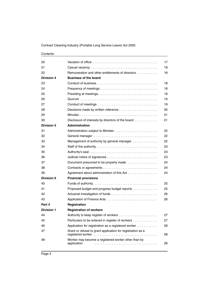| 20                |                                                                    | 17 |
|-------------------|--------------------------------------------------------------------|----|
| 21                |                                                                    | 18 |
| 22                | Remuneration and other entitlements of directors                   | 18 |
| Division 4        | <b>Business of the board</b>                                       |    |
| 23                |                                                                    | 18 |
| 24                | Frequency of meetings                                              | 18 |
| 25                |                                                                    | 19 |
| 26                |                                                                    | 19 |
| 27                |                                                                    | 19 |
| 28                |                                                                    | 20 |
| 29                |                                                                    | 21 |
| 30                | Disclosure of interests by directors of the board                  | 21 |
| <b>Division 5</b> | <b>Administration</b>                                              |    |
| 31                |                                                                    | 22 |
| 32                |                                                                    | 22 |
| 33                | Management of authority by general manager.                        | 22 |
| 34                |                                                                    | 23 |
| 35                |                                                                    | 23 |
| 36                |                                                                    | 23 |
| 37                | Document presumed to be properly made                              | 24 |
| 38                |                                                                    | 24 |
| 39                | Agreement about administration of this Act                         | 24 |
| Division 6        | <b>Financial provisions</b>                                        |    |
| 40                |                                                                    | 25 |
| 41                | Proposed budget and progress budget reports                        | 25 |
| 42                |                                                                    | 26 |
| 43                |                                                                    | 26 |
| Part 4            | Registration                                                       |    |
| <b>Division 1</b> | <b>Registration of workers</b>                                     |    |
| 44                | Authority to keep register of workers                              | 27 |
| 45                | Particulars to be entered in register of workers                   | 27 |
| 46                | Application for registration as a registered worker                | 28 |
| 47                | Grant or refusal to grant application for registration as a        | 28 |
| 48                | Worker may become a registered worker other than by<br>application | 28 |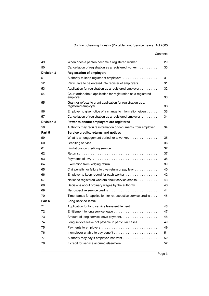| When does a person become a registered worker                              | 29 |
|----------------------------------------------------------------------------|----|
| Cancellation of registration as a registered worker                        | 30 |
| <b>Registration of employers</b>                                           |    |
| Authority to keep register of employers                                    | 31 |
| Particulars to be entered into register of employers                       | 31 |
| Application for registration as a registered employer                      | 32 |
| Court order about application for registration as a registered<br>employer | 33 |
| Grant or refusal to grant application for registration as a                | 33 |
| Employer to give notice of a change to information given                   | 33 |
| Cancellation of registration as a registered employer                      | 34 |
| Power to ensure employers are registered                                   |    |
| Authority may require information or documents from employer.              | 34 |
| Service credits, returns and notices                                       |    |
|                                                                            | 35 |
|                                                                            | 36 |
| Limitations on crediting service                                           | 37 |
|                                                                            | 37 |
|                                                                            | 38 |
|                                                                            | 39 |
| Civil penalty for failure to give return or pay levy                       | 40 |
| Employer to keep record for each worker                                    | 42 |
| Notice to registered workers about service credits                         | 43 |
| Decisions about ordinary wages by the authority                            | 43 |
|                                                                            | 44 |
| Time frames for application for retrospective service credits              | 45 |
| Long service leave                                                         |    |
| Application for long service leave entitlement                             | 46 |
| Entitlement to long service leave                                          | 47 |
|                                                                            | 48 |
| Long service leave not payable in particular cases                         | 49 |
|                                                                            | 49 |
|                                                                            | 51 |
|                                                                            | 52 |
| If credit for service accrued elsewhere                                    | 52 |
|                                                                            |    |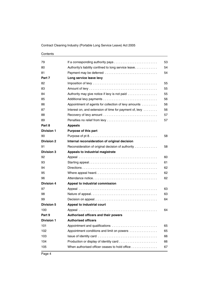| 79                |                                                         | 53 |
|-------------------|---------------------------------------------------------|----|
| 80                | Authority's liability confined to long service leave    | 54 |
| 81                | Payment may be deferred                                 | 54 |
| Part 7            | Long service leave levy                                 |    |
| 82                |                                                         | 55 |
| 83                |                                                         | 55 |
| 84                | Authority may give notice if levy is not paid           | 55 |
| 85                |                                                         | 56 |
| 86                | Appointment of agents for collection of levy amounts    | 56 |
| 87                | Interest on, and extension of time for payment of, levy | 56 |
| 88                |                                                         | 57 |
| 89                |                                                         | 57 |
| Part 8            | <b>Appeals</b>                                          |    |
| <b>Division 1</b> | Purpose of this part                                    |    |
| 90                |                                                         | 58 |
| <b>Division 2</b> | Internal reconsideration of original decision           |    |
| 91                | Reconsideration of original decision of authority       | 58 |
| <b>Division 3</b> | Appeals to industrial magistrate                        |    |
| 92                |                                                         | 60 |
| 93                |                                                         | 61 |
| 94                |                                                         | 62 |
| 95                |                                                         | 62 |
| 96                |                                                         | 62 |
| <b>Division 4</b> | Appeal to industrial commission                         |    |
| 97                |                                                         | 63 |
| 98                |                                                         | 63 |
| 99                |                                                         | 64 |
| <b>Division 5</b> | Appeal to industrial court                              |    |
| 100               |                                                         | 64 |
| Part 9            | <b>Authorised officers and their powers</b>             |    |
| <b>Division 1</b> | <b>Authorised officers</b>                              |    |
| 101               | Appointment and qualifications                          | 65 |
| 102               | Appointment conditions and limit on powers              | 65 |
| 103               |                                                         | 66 |
| 104               |                                                         | 66 |
| 105               | When authorised officer ceases to hold office           | 67 |
|                   |                                                         |    |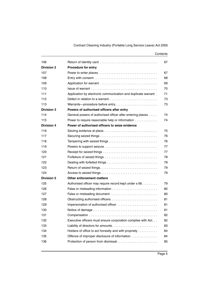| Contents |
|----------|
|----------|

| 106               |                                                                | 67 |
|-------------------|----------------------------------------------------------------|----|
| <b>Division 2</b> | <b>Procedure for entry</b>                                     |    |
| 107               |                                                                | 67 |
| 108               |                                                                | 68 |
| 109               |                                                                | 69 |
| 110               |                                                                | 70 |
| 111               | Application by electronic communication and duplicate warrant. | 71 |
| 112               | Defect in relation to a warrant                                | 73 |
| 113               | Warrants---procedure before entry                              | 73 |
| <b>Division 3</b> | Powers of authorised officers after entry                      |    |
| 114               | General powers of authorised officer after entering places     | 74 |
| 115               | Power to require reasonable help or information                | 74 |
| <b>Division 4</b> | Power of authorised officers to seize evidence                 |    |
| 116               | Seizing evidence at place                                      | 75 |
| 117               |                                                                | 76 |
| 118               |                                                                | 76 |
| 119               | Powers to support seizure                                      | 77 |
| 120               |                                                                | 77 |
| 121               |                                                                | 78 |
| 122               |                                                                | 78 |
| 123               |                                                                | 79 |
| 124               |                                                                | 79 |
| <b>Division 5</b> | <b>Other enforcement matters</b>                               |    |
| 125               | Authorised officer may require record kept under s 66.         | 79 |
| 126               |                                                                | 80 |
| 127               |                                                                | 80 |
| 128               |                                                                | 81 |
| 129               | Impersonation of authorised officer                            | 81 |
| 130               |                                                                | 81 |
| 131               |                                                                | 82 |
| 132               | Executive officers must ensure corporation complies with Act   | 82 |
| 133               | Liability of directors for amounts                             | 83 |
| 134               | Holders of office to act honestly and with propriety           | 84 |
| 135               | Offence of improper disclosure of information                  | 84 |
| 136               | Protection of person from dismissal                            | 85 |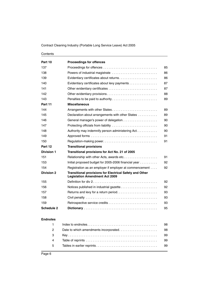| Part 10           | <b>Proceedings for offences</b>                                                                         |    |
|-------------------|---------------------------------------------------------------------------------------------------------|----|
| 137               |                                                                                                         | 85 |
| 138               |                                                                                                         | 86 |
| 139               | Evidentiary certificates about returns                                                                  | 86 |
| 140               | Evidentiary certificates about levy payments                                                            | 87 |
| 141               |                                                                                                         | 87 |
| 142               | Other evidentiary provisions                                                                            | 88 |
| 143               |                                                                                                         | 89 |
| Part 11           | <b>Miscellaneous</b>                                                                                    |    |
| 144               | Arrangements with other States                                                                          | 89 |
| 145               | Declaration about arrangements with other States                                                        | 89 |
| 146               |                                                                                                         | 90 |
| 147               |                                                                                                         | 90 |
| 148               | Authority may indemnify person administering Act.                                                       | 90 |
| 149               |                                                                                                         | 91 |
| 150               | Regulation-making power                                                                                 | 91 |
| Part 12           | <b>Transitional provisions</b>                                                                          |    |
| <b>Division 1</b> | Transitional provisions for Act No. 21 of 2005                                                          |    |
| 151               | Relationship with other Acts, awards etc                                                                | 91 |
| 153               | Initial proposed budget for 2005-2006 financial year                                                    | 92 |
| 154               | Registration as an employer if employer at commencement                                                 | 92 |
| <b>Division 2</b> | <b>Transitional provisions for Electrical Safety and Other</b><br><b>Legislation Amendment Act 2009</b> |    |
| 155               |                                                                                                         | 92 |
| 156               |                                                                                                         | 92 |
| 157               | Returns and levy for a return period                                                                    | 93 |
| 158               |                                                                                                         | 93 |
| 159               |                                                                                                         | 93 |
| <b>Schedule 2</b> |                                                                                                         | 95 |

#### **[Endnotes](#page-99-0)**

|                | -98 |
|----------------|-----|
| $2^{\circ}$    |     |
| $3^{\circ}$    | -99 |
| $\overline{4}$ | -99 |
| $5^{\circ}$    |     |
|                |     |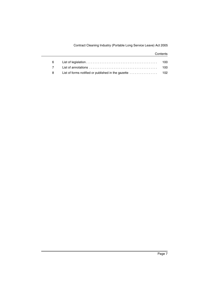| 6           |                                                                                | 100 |
|-------------|--------------------------------------------------------------------------------|-----|
| $7^{\circ}$ |                                                                                |     |
| 8 I         | List of forms notified or published in the gazette $\dots\dots\dots\dots\dots$ |     |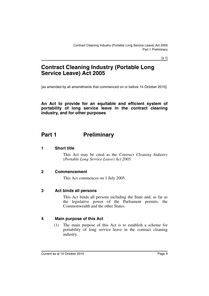[s 1]

## **Contract Cleaning Industry (Portable Long Service Leave) Act 2005**

[as amended by all amendments that commenced on or before 14 October 2010]

**An Act to provide for an equitable and efficient system of portability of long service leave in the contract cleaning industry, and for other purposes**

## <span id="page-10-0"></span>Part 1 **Preliminary**

#### <span id="page-10-1"></span>**1 Short title**

This Act may be cited as the *Contract Cleaning Industry (Portable Long Service Leave) Act 2005*.

#### <span id="page-10-2"></span>**2 Commencement**

This Act commences on 1 July 2005.

#### <span id="page-10-3"></span>**3 Act binds all persons**

This Act binds all persons including the State and, as far as the legislative power of the Parliament permits, the Commonwealth and the other States.

#### <span id="page-10-4"></span>**4 Main purpose of this Act**

(1) The main purpose of this Act is to establish a scheme for portability of long service leave in the contract cleaning industry.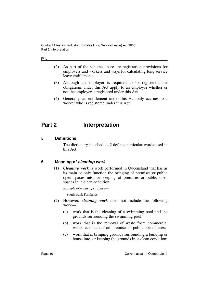| ۰.<br>×<br>۰,<br>× |
|--------------------|
|--------------------|

- (2) As part of the scheme, there are registration provisions for employers and workers and ways for calculating long service leave entitlements.
- (3) Although an employer is required to be registered, the obligations under this Act apply to an employer whether or not the employer is registered under this Act.
- (4) Generally, an entitlement under this Act only accrues to a worker who is registered under this Act.

## <span id="page-11-0"></span>**Part 2 Interpretation**

#### <span id="page-11-1"></span>**5 Definitions**

The dictionary in schedule 2 defines particular words used in this Act.

#### <span id="page-11-2"></span>**6 Meaning of** *cleaning work*

(1) *Cleaning work* is work performed in Queensland that has as its main or only function the bringing of premises or public open spaces into, or keeping of premises or public open spaces in, a clean condition.

*Example of public open space*—

South Bank Parklands

- (2) However, *cleaning work* does not include the following work—
	- (a) work that is the cleaning of a swimming pool and the grounds surrounding the swimming pool;
	- (b) work that is the removal of waste from commercial waste receptacles from premises or public open spaces;
	- (c) work that is bringing grounds surrounding a building or house into, or keeping the grounds in, a clean condition;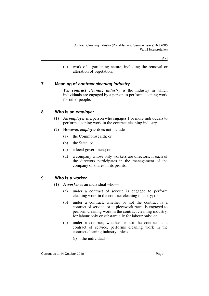[s 7]

(d) work of a gardening nature, including the removal or alteration of vegetation.

#### <span id="page-12-0"></span>**7 Meaning of** *contract cleaning industry*

The *contract cleaning industry* is the industry in which individuals are engaged by a person to perform cleaning work for other people.

#### <span id="page-12-1"></span>**8 Who is an** *employer*

- (1) An *employer* is a person who engages 1 or more individuals to perform cleaning work in the contract cleaning industry.
- (2) However, *employer* does not include—
	- (a) the Commonwealth; or
	- (b) the State; or
	- (c) a local government; or
	- (d) a company whose only workers are directors, if each of the directors participates in the management of the company or shares in its profits.

#### <span id="page-12-2"></span>**9 Who is a** *worker*

- (1) A *worker* is an individual who—
	- (a) under a contract of service is engaged to perform cleaning work in the contract cleaning industry; or
	- (b) under a contract, whether or not the contract is a contract of service, or at piecework rates, is engaged to perform cleaning work in the contract cleaning industry, for labour only or substantially for labour only; or
	- (c) under a contract, whether or not the contract is a contract of service, performs cleaning work in the contract cleaning industry unless—
		- (i) the individual—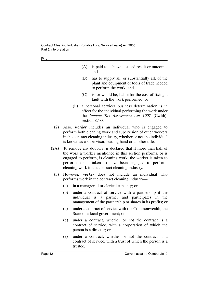| I<br>۰.<br>×<br>۰.<br>× |  |
|-------------------------|--|
|-------------------------|--|

- (A) is paid to achieve a stated result or outcome; and
- (B) has to supply all, or substantially all, of the plant and equipment or tools of trade needed to perform the work; and
- (C) is, or would be, liable for the cost of fixing a fault with the work performed; or
- (ii) a personal services business determination is in effect for the individual performing the work under the *Income Tax Assessment Act 1997* (Cwlth), section 87-60.
- (2) Also, *worker* includes an individual who is engaged to perform both cleaning work and supervision of other workers in the contract cleaning industry, whether or not the individual is known as a supervisor, leading hand or another title.
- (2A) To remove any doubt, it is declared that if more than half of the work a worker mentioned in this section performs, or is engaged to perform, is cleaning work, the worker is taken to perform, or is taken to have been engaged to perform, cleaning work in the contract cleaning industry.
	- (3) However, *worker* does not include an individual who performs work in the contract cleaning industry—
		- (a) in a managerial or clerical capacity; or
		- (b) under a contract of service with a partnership if the individual is a partner and participates in the management of the partnership or shares in its profits; or
		- (c) under a contract of service with the Commonwealth, the State or a local government; or
		- (d) under a contract, whether or not the contract is a contract of service, with a corporation of which the person is a director; or
		- (e) under a contract, whether or not the contract is a contract of service, with a trust of which the person is a trustee.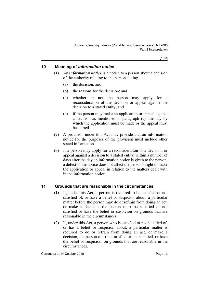### <span id="page-14-0"></span>**10 Meaning of** *information notice*

- (1) An *information notice* is a notice to a person about a decision of the authority relating to the person stating—
	- (a) the decision; and
	- (b) the reasons for the decision; and
	- (c) whether or not the person may apply for a reconsideration of the decision or appeal against the decision to a stated entity; and
	- (d) if the person may make an application or appeal against a decision as mentioned in paragraph (c), the day by which the application must be made or the appeal must be started.
- (2) A provision under this Act may provide that an information notice for the purposes of the provision must include other stated information.
- (3) If a person may apply for a reconsideration of a decision, or appeal against a decision to a stated entity, within a number of days after the day an information notice is given to the person, a defect in the notice does not affect the person's right to make the application or appeal in relation to the matters dealt with in the information notice.

#### <span id="page-14-1"></span>**11 Grounds that are reasonable in the circumstances**

- (1) If, under this Act, a person is required to be satisfied or not satisfied of, or have a belief or suspicion about, a particular matter before the person may do or refrain from doing an act, or make a decision, the person must be satisfied or not satisfied or have the belief or suspicion on grounds that are reasonable in the circumstances.
- (2) If, under this Act, a person who is satisfied or not satisfied of, or has a belief or suspicion about, a particular matter is required to do or refrain from doing an act, or make a decision, the person must be satisfied or not satisfied, or have the belief or suspicion, on grounds that are reasonable in the circumstances.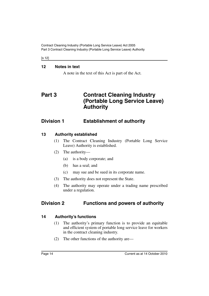Contract Cleaning Industry (Portable Long Service Leave) Act 2005 Part 3 Contract Cleaning Industry (Portable Long Service Leave) Authority

[s 12]

#### <span id="page-15-0"></span>**12 Notes in text**

A note in the text of this Act is part of the Act.

## <span id="page-15-1"></span>**Part 3 Contract Cleaning Industry (Portable Long Service Leave) Authority**

## <span id="page-15-2"></span>**Division 1 Establishment of authority**

### <span id="page-15-3"></span>**13 Authority established**

- (1) The Contract Cleaning Industry (Portable Long Service Leave) Authority is established.
- (2) The authority—
	- (a) is a body corporate; and
	- (b) has a seal; and
	- (c) may sue and be sued in its corporate name.
- (3) The authority does not represent the State.
- (4) The authority may operate under a trading name prescribed under a regulation.

## <span id="page-15-4"></span>**Division 2 Functions and powers of authority**

### <span id="page-15-5"></span>**14 Authority's functions**

- (1) The authority's primary function is to provide an equitable and efficient system of portable long service leave for workers in the contract cleaning industry.
- (2) The other functions of the authority are—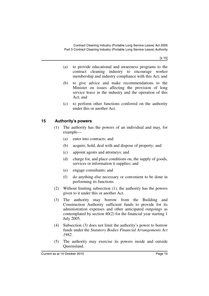[s 15]

- (a) to provide educational and awareness programs to the contract cleaning industry to encourage worker membership and industry compliance with this Act; and
- (b) to give advice and make recommendations to the Minister on issues affecting the provision of long service leave in the industry and the operation of this Act; and
- (c) to perform other functions conferred on the authority under this or another Act.

### <span id="page-16-0"></span>**15 Authority's powers**

- (1) The authority has the powers of an individual and may, for example—
	- (a) enter into contracts; and
	- (b) acquire, hold, deal with and dispose of property; and
	- (c) appoint agents and attorneys; and
	- (d) charge for, and place conditions on, the supply of goods, services or information it supplies; and
	- (e) engage consultants; and
	- (f) do anything else necessary or convenient to be done in performing its functions.
- (2) Without limiting subsection (1), the authority has the powers given to it under this or another Act.
- (3) The authority may borrow from the Building and Construction Authority sufficient funds to provide for its administration expenses and other anticipated outgoings as contemplated by section 40(2) for the financial year starting 1 July 2005.
- (4) Subsection (3) does not limit the authority's power to borrow funds under the *Statutory Bodies Financial Arrangements Act 1982*.
- (5) The authority may exercise its powers inside and outside Queensland.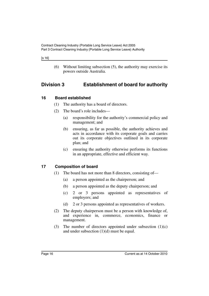#### [s 16]

(6) Without limiting subsection (5), the authority may exercise its powers outside Australia.

## <span id="page-17-0"></span>**Division 3 Establishment of board for authority**

#### <span id="page-17-1"></span>**16 Board established**

- (1) The authority has a board of directors.
- (2) The board's role includes—
	- (a) responsibility for the authority's commercial policy and management; and
	- (b) ensuring, as far as possible, the authority achieves and acts in accordance with its corporate goals and carries out its corporate objectives outlined in its corporate plan; and
	- (c) ensuring the authority otherwise performs its functions in an appropriate, effective and efficient way.

### <span id="page-17-2"></span>**17 Composition of board**

- (1) The board has not more than 8 directors, consisting of—
	- (a) a person appointed as the chairperson; and
	- (b) a person appointed as the deputy chairperson; and
	- (c) 2 or 3 persons appointed as representatives of employers; and
	- (d) 2 or 3 persons appointed as representatives of workers.
- (2) The deputy chairperson must be a person with knowledge of, and experience in, commerce, economics, finance or management.
- (3) The number of directors appointed under subsection  $(1)(c)$ and under subsection (1)(d) must be equal.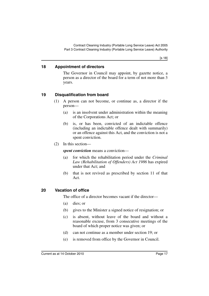Contract Cleaning Industry (Portable Long Service Leave) Act 2005 Part 3 Contract Cleaning Industry (Portable Long Service Leave) Authority

[s 18]

#### <span id="page-18-0"></span>**18 Appointment of directors**

The Governor in Council may appoint, by gazette notice, a person as a director of the board for a term of not more than 3 years.

#### <span id="page-18-1"></span>**19 Disqualification from board**

- (1) A person can not become, or continue as, a director if the person—
	- (a) is an insolvent under administration within the meaning of the Corporations Act; or
	- (b) is, or has been, convicted of an indictable offence (including an indictable offence dealt with summarily) or an offence against this Act, and the conviction is not a spent conviction.
- (2) In this section—

*spent conviction* means a conviction—

- (a) for which the rehabilitation period under the *Criminal Law (Rehabilitation of Offenders) Act 1986* has expired under that Act; and
- (b) that is not revived as prescribed by section 11 of that Act.

#### <span id="page-18-2"></span>**20 Vacation of office**

The office of a director becomes vacant if the director—

- (a) dies; or
- (b) gives to the Minister a signed notice of resignation; or
- (c) is absent, without leave of the board and without a reasonable excuse, from 3 consecutive meetings of the board of which proper notice was given; or
- (d) can not continue as a member under section 19; or
- (e) is removed from office by the Governor in Council.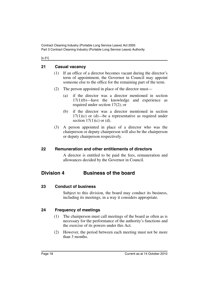#### [s 21]

### <span id="page-19-0"></span>**21 Casual vacancy**

- (1) If an office of a director becomes vacant during the director's term of appointment, the Governor in Council may appoint someone else to the office for the remaining part of the term.
- (2) The person appointed in place of the director must—
	- (a) if the director was a director mentioned in section 17(1)(b)—have the knowledge and experience as required under section 17(2); or
	- (b) if the director was a director mentioned in section  $17(1)(c)$  or (d)—be a representative as required under section  $17(1)(c)$  or (d).
- (3) A person appointed in place of a director who was the chairperson or deputy chairperson will also be the chairperson or deputy chairperson respectively.

### <span id="page-19-1"></span>**22 Remuneration and other entitlements of directors**

A director is entitled to be paid the fees, remuneration and allowances decided by the Governor in Council.

## <span id="page-19-2"></span>**Division 4 Business of the board**

### <span id="page-19-3"></span>**23 Conduct of business**

Subject to this division, the board may conduct its business, including its meetings, in a way it considers appropriate.

### <span id="page-19-4"></span>**24 Frequency of meetings**

- (1) The chairperson must call meetings of the board as often as is necessary for the performance of the authority's functions and the exercise of its powers under this Act.
- (2) However, the period between each meeting must not be more than 3 months.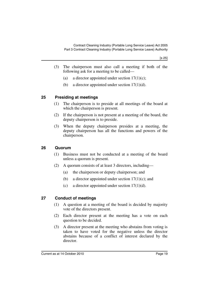- (3) The chairperson must also call a meeting if both of the following ask for a meeting to be called—
	- (a) a director appointed under section  $17(1)(c)$ ;
	- (b) a director appointed under section 17(1)(d).

#### <span id="page-20-0"></span>**25 Presiding at meetings**

- (1) The chairperson is to preside at all meetings of the board at which the chairperson is present.
- (2) If the chairperson is not present at a meeting of the board, the deputy chairperson is to preside.
- (3) When the deputy chairperson presides at a meeting, the deputy chairperson has all the functions and powers of the chairperson.

#### <span id="page-20-1"></span>**26 Quorum**

- (1) Business must not be conducted at a meeting of the board unless a quorum is present.
- (2) A quorum consists of at least 3 directors, including—
	- (a) the chairperson or deputy chairperson; and
	- (b) a director appointed under section  $17(1)(c)$ ; and
	- (c) a director appointed under section  $17(1)(d)$ .

### <span id="page-20-2"></span>**27 Conduct of meetings**

- (1) A question at a meeting of the board is decided by majority vote of the directors present.
- (2) Each director present at the meeting has a vote on each question to be decided.
- (3) A director present at the meeting who abstains from voting is taken to have voted for the negative unless the director abstains because of a conflict of interest declared by the director.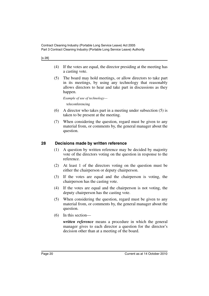[s 28]

- (4) If the votes are equal, the director presiding at the meeting has a casting vote.
- (5) The board may hold meetings, or allow directors to take part in its meetings, by using any technology that reasonably allows directors to hear and take part in discussions as they happen.

*Example of use of technology—*

teleconferencing

- (6) A director who takes part in a meeting under subsection (5) is taken to be present at the meeting.
- (7) When considering the question, regard must be given to any material from, or comments by, the general manager about the question.

### <span id="page-21-0"></span>**28 Decisions made by written reference**

- (1) A question by written reference may be decided by majority vote of the directors voting on the question in response to the reference.
- (2) At least 1 of the directors voting on the question must be either the chairperson or deputy chairperson.
- (3) If the votes are equal and the chairperson is voting, the chairperson has the casting vote.
- (4) If the votes are equal and the chairperson is not voting, the deputy chairperson has the casting vote.
- (5) When considering the question, regard must be given to any material from, or comments by, the general manager about the question.
- (6) In this section—

*written reference* means a procedure in which the general manager gives to each director a question for the director's decision other than at a meeting of the board.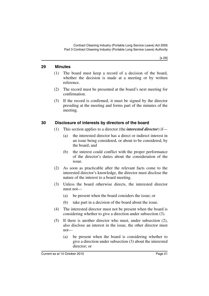#### <span id="page-22-0"></span>**29 Minutes**

- (1) The board must keep a record of a decision of the board, whether the decision is made at a meeting or by written reference.
- (2) The record must be presented at the board's next meeting for confirmation.
- (3) If the record is confirmed, it must be signed by the director presiding at the meeting and forms part of the minutes of the meeting.

### <span id="page-22-1"></span>**30 Disclosure of interests by directors of the board**

- (1) This section applies to a director (the *interested director*) if—
	- (a) the interested director has a direct or indirect interest in an issue being considered, or about to be considered, by the board; and
	- (b) the interest could conflict with the proper performance of the director's duties about the consideration of the issue.
- (2) As soon as practicable after the relevant facts come to the interested director's knowledge, the director must disclose the nature of the interest to a board meeting.
- (3) Unless the board otherwise directs, the interested director must not—
	- (a) be present when the board considers the issue; or
	- (b) take part in a decision of the board about the issue.
- (4) The interested director must not be present when the board is considering whether to give a direction under subsection (3).
- (5) If there is another director who must, under subsection (2), also disclose an interest in the issue, the other director must not—
	- (a) be present when the board is considering whether to give a direction under subsection (3) about the interested director; or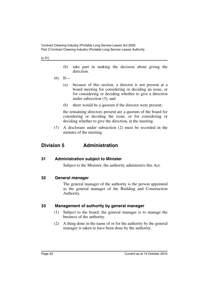[s 31]

- (b) take part in making the decision about giving the direction.
- $(6)$  If—
	- (a) because of this section, a director is not present at a board meeting for considering or deciding an issue, or for considering or deciding whether to give a direction under subsection (3); and
	- (b) there would be a quorum if the director were present;

the remaining directors present are a quorum of the board for considering or deciding the issue, or for considering or deciding whether to give the direction, at the meeting.

(7) A disclosure under subsection (2) must be recorded in the minutes of the meeting.

## <span id="page-23-0"></span>**Division 5 Administration**

#### <span id="page-23-1"></span>**31 Administration subject to Minister**

Subject to the Minister, the authority administers this Act.

#### <span id="page-23-2"></span>**32 General manager**

The general manager of the authority is the person appointed as the general manager of the Building and Construction Authority.

#### <span id="page-23-3"></span>**33 Management of authority by general manager**

- (1) Subject to the board, the general manager is to manage the business of the authority.
- (2) A thing done in the name of or for the authority by the general manager is taken to have been done by the authority.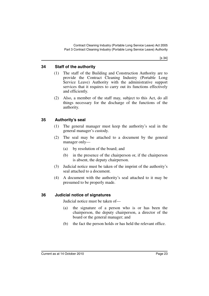### <span id="page-24-0"></span>**34 Staff of the authority**

- (1) The staff of the Building and Construction Authority are to provide the Contract Cleaning Industry (Portable Long Service Leave) Authority with the administrative support services that it requires to carry out its functions effectively and efficiently.
- (2) Also, a member of the staff may, subject to this Act, do all things necessary for the discharge of the functions of the authority.

#### <span id="page-24-1"></span>**35 Authority's seal**

- (1) The general manager must keep the authority's seal in the general manager's custody.
- (2) The seal may be attached to a document by the general manager only—
	- (a) by resolution of the board; and
	- (b) in the presence of the chairperson or, if the chairperson is absent, the deputy chairperson.
- (3) Judicial notice must be taken of the imprint of the authority's seal attached to a document.
- (4) A document with the authority's seal attached to it may be presumed to be properly made.

### <span id="page-24-2"></span>**36 Judicial notice of signatures**

Judicial notice must be taken of—

- (a) the signature of a person who is or has been the chairperson, the deputy chairperson, a director of the board or the general manager; and
- (b) the fact the person holds or has held the relevant office.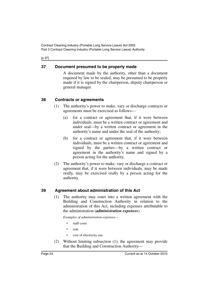Contract Cleaning Industry (Portable Long Service Leave) Act 2005 Part 3 Contract Cleaning Industry (Portable Long Service Leave) Authority

[s 37]

### <span id="page-25-0"></span>**37 Document presumed to be properly made**

A document made by the authority, other than a document required by law to be sealed, may be presumed to be properly made if it is signed by the chairperson, deputy chairperson or general manager.

### <span id="page-25-1"></span>**38 Contracts or agreements**

- (1) The authority's power to make, vary or discharge contracts or agreements must be exercised as follows—
	- (a) for a contract or agreement that, if it were between individuals, must be a written contract or agreement and under seal—by a written contract or agreement in the authority's name and under the seal of the authority;
	- (b) for a contract or agreement that, if it were between individuals, must be a written contract or agreement and signed by the parties—by a written contract or agreement in the authority's name and signed by a person acting for the authority.
- (2) The authority's power to make, vary or discharge a contract or agreement that, if it were between individuals, may be made orally, may be exercised orally by a person acting for the authority.

### <span id="page-25-2"></span>**39 Agreement about administration of this Act**

(1) The authority may enter into a written agreement with the Building and Construction Authority in relation to the administration of this Act, including expenses attributable to the administration (*administration expenses*).

*Examples of administration expenses*—

- staff costs
- rent
- cost of electricity use
- (2) Without limiting subsection (1), the agreement may provide that the Building and Construction Authority—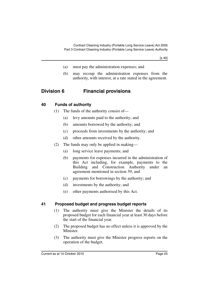[s 40]

- (a) must pay the administration expenses; and
- (b) may recoup the administration expenses from the authority, with interest, at a rate stated in the agreement.

## <span id="page-26-0"></span>**Division 6 Financial provisions**

#### <span id="page-26-1"></span>**40 Funds of authority**

- (1) The funds of the authority consist of—
	- (a) levy amounts paid to the authority; and
	- (b) amounts borrowed by the authority; and
	- (c) proceeds from investments by the authority; and
	- (d) other amounts received by the authority.
- (2) The funds may only be applied in making—
	- (a) long service leave payments; and
	- (b) payments for expenses incurred in the administration of this Act including, for example, payments to the Building and Construction Authority under an agreement mentioned in section 39; and
	- (c) payments for borrowings by the authority; and
	- (d) investments by the authority; and
	- (e) other payments authorised by this Act.

#### <span id="page-26-2"></span>**41 Proposed budget and progress budget reports**

- (1) The authority must give the Minister the details of its proposed budget for each financial year at least 30 days before the start of the financial year.
- (2) The proposed budget has no effect unless it is approved by the Minister.
- (3) The authority must give the Minister progress reports on the operation of the budget.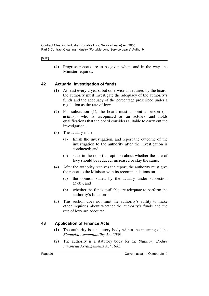#### [s 42]

(4) Progress reports are to be given when, and in the way, the Minister requires.

### <span id="page-27-0"></span>**42 Actuarial investigation of funds**

- (1) At least every 2 years, but otherwise as required by the board, the authority must investigate the adequacy of the authority's funds and the adequacy of the percentage prescribed under a regulation as the rate of levy.
- (2) For subsection (1), the board must appoint a person (an *actuary*) who is recognised as an actuary and holds qualifications that the board considers suitable to carry out the investigation.
- (3) The actuary must—
	- (a) finish the investigation, and report the outcome of the investigation to the authority after the investigation is conducted; and
	- (b) state in the report an opinion about whether the rate of levy should be reduced, increased or stay the same.
- (4) After the authority receives the report, the authority must give the report to the Minister with its recommendations on—
	- (a) the opinion stated by the actuary under subsection (3)(b); and
	- (b) whether the funds available are adequate to perform the authority's functions.
- (5) This section does not limit the authority's ability to make other inquiries about whether the authority's funds and the rate of levy are adequate.

#### <span id="page-27-1"></span>**43 Application of Finance Acts**

- (1) The authority is a statutory body within the meaning of the *Financial Accountability Act 2009*.
- (2) The authority is a statutory body for the *Statutory Bodies Financial Arrangements Act 1982*.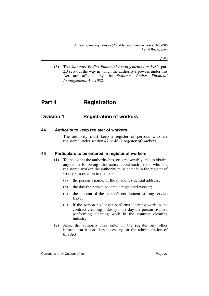[s 44]

(3) The *Statutory Bodies Financial Arrangements Act 1982*, part 2B sets out the way in which the authority's powers under this Act are affected by the *Statutory Bodies Financial Arrangements Act 1982.*

## <span id="page-28-0"></span>**Part 4 Registration**

## <span id="page-28-1"></span>**Division 1 Registration of workers**

#### <span id="page-28-2"></span>**44 Authority to keep register of workers**

The authority must keep a register of persons who are registered under section 47 or 48 (a *register of workers*).

#### <span id="page-28-3"></span>**45 Particulars to be entered in register of workers**

- (1) To the extent the authority has, or is reasonably able to obtain, any of the following information about each person who is a registered worker, the authority must enter it in the register of workers in relation to the person—
	- (a) the person's name, birthday and residential address;
	- (b) the day the person became a registered worker;
	- (c) the amount of the person's entitlement to long service leave;
	- (d) if the person no longer performs cleaning work in the contract cleaning industry—the day the person stopped performing cleaning work in the contract cleaning industry.
- (2) Also, the authority may enter in the register any other information it considers necessary for the administration of this Act.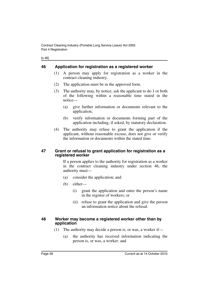| ×<br>٠<br>I |
|-------------|
|-------------|

### <span id="page-29-0"></span>**46 Application for registration as a registered worker**

- (1) A person may apply for registration as a worker in the contract cleaning industry.
- (2) The application must be in the approved form.
- (3) The authority may, by notice, ask the applicant to do 1 or both of the following within a reasonable time stated in the notice—
	- (a) give further information or documents relevant to the application;
	- (b) verify information or documents forming part of the application including, if asked, by statutory declaration.
- (4) The authority may refuse to grant the application if the applicant, without reasonable excuse, does not give or verify the information or documents within the stated time.

#### <span id="page-29-1"></span>**47 Grant or refusal to grant application for registration as a registered worker**

If a person applies to the authority for registration as a worker in the contract cleaning industry under section 46, the authority must—

- (a) consider the application; and
- (b) either—
	- (i) grant the application and enter the person's name in the register of workers; or
	- (ii) refuse to grant the application and give the person an information notice about the refusal.

#### <span id="page-29-2"></span>**48 Worker may become a registered worker other than by application**

- (1) The authority may decide a person is, or was, a worker if—
	- (a) the authority has received information indicating the person is, or was, a worker; and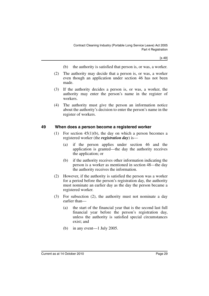[s 49]

- (b) the authority is satisfied that person is, or was, a worker.
- (2) The authority may decide that a person is, or was, a worker even though an application under section 46 has not been made.
- (3) If the authority decides a person is, or was, a worker, the authority may enter the person's name in the register of workers.
- (4) The authority must give the person an information notice about the authority's decision to enter the person's name in the register of workers.

#### <span id="page-30-0"></span>**49 When does a person become a registered worker**

- (1) For section  $45(1)(b)$ , the day on which a person becomes a registered worker (the *registration day*) is—
	- (a) if the person applies under section 46 and the application is granted—the day the authority receives the application; or
	- (b) if the authority receives other information indicating the person is a worker as mentioned in section 48—the day the authority receives the information.
- (2) However, if the authority is satisfied the person was a worker for a period before the person's registration day, the authority must nominate an earlier day as the day the person became a registered worker.
- (3) For subsection (2), the authority must not nominate a day earlier than—
	- (a) the start of the financial year that is the second last full financial year before the person's registration day, unless the authority is satisfied special circumstances exist; and
	- (b) in any event—1 July 2005.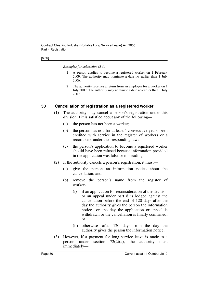#### [s 50]

*Examples for subsection (3)(a)—*

- 1 A person applies to become a registered worker on 1 February 2009. The authority may nominate a date no earlier than 1 July 2006.
- 2 The authority receives a return from an employer for a worker on 1 July 2009. The authority may nominate a date no earlier than 1 July 2007.

#### <span id="page-31-0"></span>**50 Cancellation of registration as a registered worker**

- (1) The authority may cancel a person's registration under this division if it is satisfied about any of the following—
	- (a) the person has not been a worker;
	- (b) the person has not, for at least 4 consecutive years, been credited with service in the register of workers or a record kept under a corresponding law;
	- (c) the person's application to become a registered worker should have been refused because information provided in the application was false or misleading.
- (2) If the authority cancels a person's registration, it must—
	- (a) give the person an information notice about the cancellation; and
	- (b) remove the person's name from the register of workers—
		- (i) if an application for reconsideration of the decision or an appeal under part 8 is lodged against the cancellation before the end of 120 days after the day the authority gives the person the information notice—on the day the application or appeal is withdrawn or the cancellation is finally confirmed; or
		- (ii) otherwise—after 120 days from the day the authority gives the person the information notice.
- (3) However, if a payment for long service leave is made to a person under section  $72(2)(a)$ , the authority must immediately—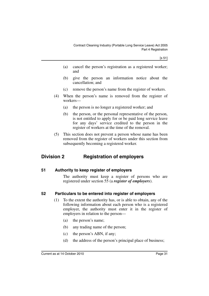[s 51]

- (a) cancel the person's registration as a registered worker; and
- (b) give the person an information notice about the cancellation; and
- (c) remove the person's name from the register of workers.
- (4) When the person's name is removed from the register of workers—
	- (a) the person is no longer a registered worker; and
	- (b) the person, or the personal representative of the person, is not entitled to apply for or be paid long service leave for any days' service credited to the person in the register of workers at the time of the removal.
- (5) This section does not prevent a person whose name has been removed from the register of workers under this section from subsequently becoming a registered worker.

## <span id="page-32-0"></span>**Division 2 Registration of employers**

#### <span id="page-32-1"></span>**51 Authority to keep register of employers**

The authority must keep a register of persons who are registered under section 55 (a *register of employers*).

#### <span id="page-32-2"></span>**52 Particulars to be entered into register of employers**

- (1) To the extent the authority has, or is able to obtain, any of the following information about each person who is a registered employer, the authority must enter it in the register of employers in relation to the person—
	- (a) the person's name;
	- (b) any trading name of the person;
	- (c) the person's ABN, if any;
	- (d) the address of the person's principal place of business;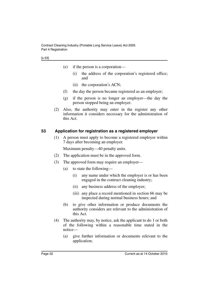- (e) if the person is a corporation—
	- (i) the address of the corporation's registered office; and
	- (ii) the corporation's ACN;
- (f) the day the person became registered as an employer;
- (g) if the person is no longer an employer—the day the person stopped being an employer.
- (2) Also, the authority may enter in the register any other information it considers necessary for the administration of this Act.

### <span id="page-33-0"></span>**53 Application for registration as a registered employer**

(1) A person must apply to become a registered employer within 7 days after becoming an employer.

Maximum penalty—40 penalty units.

- (2) The application must be in the approved form.
- (3) The approved form may require an employer—
	- (a) to state the following—
		- (i) any name under which the employer is or has been engaged in the contract cleaning industry;
		- (ii) any business address of the employer;
		- (iii) any place a record mentioned in section 66 may be inspected during normal business hours; and
	- (b) to give other information or produce documents the authority considers are relevant to the administration of this Act.
- (4) The authority may, by notice, ask the applicant to do 1 or both of the following within a reasonable time stated in the notice—
	- (a) give further information or documents relevant to the application;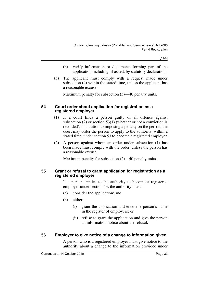[s 54]

- (b) verify information or documents forming part of the application including, if asked, by statutory declaration.
- (5) The applicant must comply with a request made under subsection (4) within the stated time, unless the applicant has a reasonable excuse.

Maximum penalty for subsection (5)—40 penalty units.

#### <span id="page-34-0"></span>**54 Court order about application for registration as a registered employer**

- (1) If a court finds a person guilty of an offence against subsection (2) or section 53(1) (whether or not a conviction is recorded), in addition to imposing a penalty on the person, the court may order the person to apply to the authority, within a stated time, under section 53 to become a registered employer.
- (2) A person against whom an order under subsection (1) has been made must comply with the order, unless the person has a reasonable excuse.

Maximum penalty for subsection (2)—40 penalty units.

#### <span id="page-34-1"></span>**55 Grant or refusal to grant application for registration as a registered employer**

If a person applies to the authority to become a registered employer under section 53, the authority must—

- (a) consider the application; and
- (b) either—
	- (i) grant the application and enter the person's name in the register of employers; or
	- (ii) refuse to grant the application and give the person an information notice about the refusal.

#### <span id="page-34-2"></span>**56 Employer to give notice of a change to information given**

A person who is a registered employer must give notice to the authority about a change to the information provided under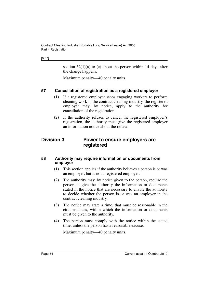#### [s 57]

section  $52(1)(a)$  to (e) about the person within 14 days after the change happens.

Maximum penalty—40 penalty units.

#### <span id="page-35-0"></span>**57 Cancellation of registration as a registered employer**

- (1) If a registered employer stops engaging workers to perform cleaning work in the contract cleaning industry, the registered employer may, by notice, apply to the authority for cancellation of the registration.
- (2) If the authority refuses to cancel the registered employer's registration, the authority must give the registered employer an information notice about the refusal.

### <span id="page-35-1"></span>**Division 3 Power to ensure employers are registered**

#### <span id="page-35-2"></span>**58 Authority may require information or documents from employer**

- (1) This section applies if the authority believes a person is or was an employer, but is not a registered employer.
- (2) The authority may, by notice given to the person, require the person to give the authority the information or documents stated in the notice that are necessary to enable the authority to decide whether the person is or was an employer in the contract cleaning industry.
- (3) The notice may state a time, that must be reasonable in the circumstances, within which the information or documents must be given to the authority.
- (4) The person must comply with the notice within the stated time, unless the person has a reasonable excuse.

Maximum penalty—40 penalty units.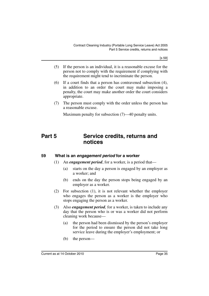[s 59]

- (5) If the person is an individual, it is a reasonable excuse for the person not to comply with the requirement if complying with the requirement might tend to incriminate the person.
- (6) If a court finds that a person has contravened subsection (4), in addition to an order the court may make imposing a penalty, the court may make another order the court considers appropriate.
- (7) The person must comply with the order unless the person has a reasonable excuse.

Maximum penalty for subsection (7)—40 penalty units.

# **Part 5 Service credits, returns and notices**

### **59 What is an** *engagement period* **for a worker**

- (1) An *engagement period*, for a worker, is a period that—
	- (a) starts on the day a person is engaged by an employer as a worker; and
	- (b) ends on the day the person stops being engaged by an employer as a worker.
- (2) For subsection (1), it is not relevant whether the employer who engages the person as a worker is the employer who stops engaging the person as a worker.
- (3) Also *engagement period,* for a worker, is taken to include any day that the person who is or was a worker did not perform cleaning work because—
	- (a) the person had been dismissed by the person's employer for the period to ensure the person did not take long service leave during the employer's employment; or
	- (b) the person—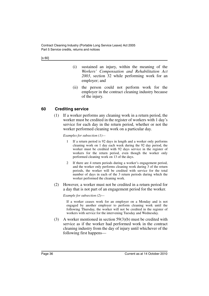[s 60]

- (i) sustained an injury, within the meaning of the *Workers' Compensation and Rehabilitation Act 2003*, section 32 while performing work for an employer; and
- (ii) the person could not perform work for the employer in the contract cleaning industry because of the injury.

### **60 Crediting service**

(1) If a worker performs any cleaning work in a return period, the worker must be credited in the register of workers with 1 day's service for each day in the return period, whether or not the worker performed cleaning work on a particular day.

*Examples for subsection (1)—*

- 1 If a return period is 92 days in length and a worker only performs cleaning work on 1 day each week during the 92 day period, the worker must be credited with 92 days service in the register of workers for the return period, even though the worker only performed cleaning work on 13 of the days.
- 2 If there are 4 return periods during a worker's engagement period, and the worker only performs cleaning work during 3 of the return periods, the worker will be credited with service for the total number of days in each of the 3 return periods during which the worker performed the cleaning work.
- (2) However, a worker must not be credited in a return period for a day that is not part of an engagement period for the worker.

*Example for subsection (2)*—

If a worker ceases work for an employer on a Monday and is not engaged by another employer to perform cleaning work until the following Thursday, the worker will not be credited in the register of workers with service for the intervening Tuesday and Wednesday.

(3) A worker mentioned in section 59(3)(b) must be credited with service as if the worker had performed work in the contract cleaning industry from the day of injury until whichever of the following first happens—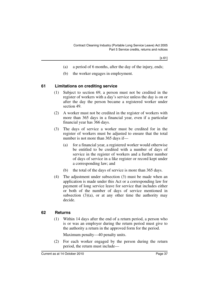- (a) a period of 6 months, after the day of the injury, ends;
- (b) the worker engages in employment.

### **61 Limitations on crediting service**

- (1) Subject to section 69, a person must not be credited in the register of workers with a day's service unless the day is on or after the day the person became a registered worker under section 49.
- (2) A worker must not be credited in the register of workers with more than 365 days in a financial year, even if a particular financial year has 366 days.
- (3) The days of service a worker must be credited for in the register of workers must be adjusted to ensure that the total number is not more than 365 days if—
	- (a) for a financial year, a registered worker would otherwise be entitled to be credited with a number of days of service in the register of workers and a further number of days of service in a like register or record kept under a corresponding law; and
	- (b) the total of the days of service is more than 365 days.
- (4) The adjustment under subsection (3) must be made when an application is made under this Act or a corresponding law for payment of long service leave for service that includes either or both of the number of days of service mentioned in subsection  $(3)(a)$ , or at any other time the authority may decide.

### **62 Returns**

(1) Within 14 days after the end of a return period, a person who is or was an employer during the return period must give to the authority a return in the approved form for the period.

Maximum penalty—40 penalty units.

(2) For each worker engaged by the person during the return period, the return must include—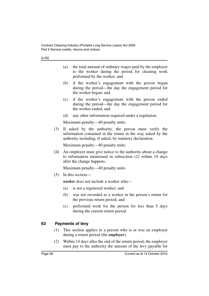- (a) the total amount of ordinary wages paid by the employer to the worker during the period for cleaning work performed by the worker; and
- (b) if the worker's engagement with the person began during the period—the day the engagement period for the worker began; and
- (c) if the worker's engagement with the person ended during the period—the day the engagement period for the worker ended; and
- (d) any other information required under a regulation.

Maximum penalty—40 penalty units.

(3) If asked by the authority, the person must verify the information contained in the return in the way asked by the authority including, if asked, by statutory declaration.

Maximum penalty—40 penalty units.

(4) An employer must give notice to the authority about a change to information mentioned in subsection (2) within 14 days after the change happens.

Maximum penalty—40 penalty units.

(5) In this section—

*worker* does not include a worker who—

- (a) is not a registered worker; and
- (b) was not recorded as a worker in the person's return for the previous return period; and
- (c) performed work for the person for less than 5 days during the current return period.

### **63 Payments of levy**

- (1) This section applies to a person who is or was an employer during a return period (the *employer*).
- (2) Within 14 days after the end of the return period, the employer must pay to the authority the amount of the levy payable for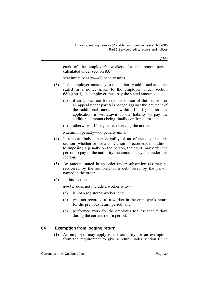each of the employer's workers for the return period calculated under section 83.

Maximum penalty—60 penalty units.

- (3) If the employer must pay to the authority additional amounts stated in a notice given to the employer under section  $68(4)(b)(ii)$ , the employer must pay the stated amounts—
	- (a) if an application for reconsideration of the decision or an appeal under part 8 is lodged against the payment of the additional amounts—within 14 days after the application is withdrawn or the liability to pay the additional amounts being finally confirmed; or
	- (b) otherwise—14 days after receiving the notice.

Maximum penalty—60 penalty units.

- (4) If a court finds a person guilty of an offence against this section (whether or not a conviction is recorded), in addition to imposing a penalty on the person, the court may order the person to pay to the authority the amounts payable under this section.
- (5) An amount stated in an order under subsection (4) may be recovered by the authority as a debt owed by the person named in the order.
- (6) In this section—

*worker* does not include a worker who—

- (a) is not a registered worker; and
- (b) was not recorded as a worker in the employer's return for the previous return period; and
- (c) performed work for the employer for less than 5 days during the current return period.

### **64 Exemption from lodging return**

(1) An employer may apply to the authority for an exemption from the requirement to give a return under section 62 in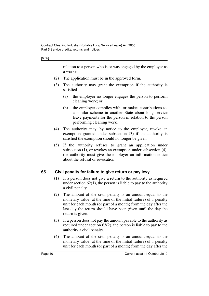#### [s 65]

relation to a person who is or was engaged by the employer as a worker.

- (2) The application must be in the approved form.
- (3) The authority may grant the exemption if the authority is satisfied—
	- (a) the employer no longer engages the person to perform cleaning work; or
	- (b) the employer complies with, or makes contributions to, a similar scheme in another State about long service leave payments for the person in relation to the person performing cleaning work.
- (4) The authority may, by notice to the employer, revoke an exemption granted under subsection (3) if the authority is satisfied the exemption should no longer be given.
- (5) If the authority refuses to grant an application under subsection (1), or revokes an exemption under subsection (4), the authority must give the employer an information notice about the refusal or revocation.

### **65 Civil penalty for failure to give return or pay levy**

- (1) If a person does not give a return to the authority as required under section  $62(1)$ , the person is liable to pay to the authority a civil penalty.
- (2) The amount of the civil penalty is an amount equal to the monetary value (at the time of the initial failure) of 1 penalty unit for each month (or part of a month) from the day after the last day the return should have been given until the day the return is given.
- (3) If a person does not pay the amount payable to the authority as required under section 63(2), the person is liable to pay to the authority a civil penalty.
- (4) The amount of the civil penalty is an amount equal to the monetary value (at the time of the initial failure) of 1 penalty unit for each month (or part of a month) from the day after the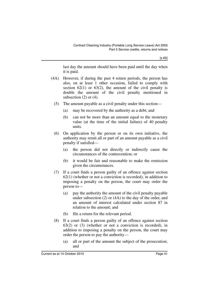[s 65]

last day the amount should have been paid until the day when it is paid.

- (4A) However, if during the past 4 return periods, the person has also, on at least 1 other occasion, failed to comply with section  $62(1)$  or  $63(2)$ , the amount of the civil penalty is double the amount of the civil penalty mentioned in subsection  $(2)$  or  $(4)$ .
	- (5) The amount payable as a civil penalty under this section—
		- (a) may be recovered by the authority as a debt; and
		- (b) can not be more than an amount equal to the monetary value (at the time of the initial failure) of 40 penalty units.
	- (6) On application by the person or on its own initiative, the authority may remit all or part of an amount payable as a civil penalty if satisfied—
		- (a) the person did not directly or indirectly cause the circumstances of the contravention; or
		- (b) it would be fair and reasonable to make the remission given the circumstances.
	- (7) If a court finds a person guilty of an offence against section 62(1) (whether or not a conviction is recorded), in addition to imposing a penalty on the person, the court may order the person to—
		- (a) pay the authority the amount of the civil penalty payable under subsection (2) or (4A) to the day of the order, and an amount of interest calculated under section 87 in relation to the amount; and
		- (b) file a return for the relevant period.
	- (8) If a court finds a person guilty of an offence against section 63(2) or (3) (whether or not a conviction is recorded), in addition to imposing a penalty on the person, the court may order the person to pay the authority—
		- (a) all or part of the amount the subject of the prosecution; and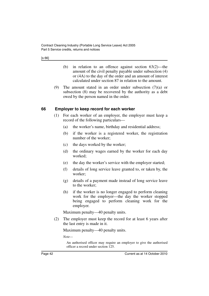[s 66]

- (b) in relation to an offence against section 63(2)—the amount of the civil penalty payable under subsection (4) or (4A) to the day of the order and an amount of interest calculated under section 87 in relation to the amount.
- (9) The amount stated in an order under subsection (7)(a) or subsection (8) may be recovered by the authority as a debt owed by the person named in the order.

### **66 Employer to keep record for each worker**

- (1) For each worker of an employer, the employer must keep a record of the following particulars—
	- (a) the worker's name, birthday and residential address;
	- (b) if the worker is a registered worker, the registration number of the worker;
	- (c) the days worked by the worker;
	- (d) the ordinary wages earned by the worker for each day worked;
	- (e) the day the worker's service with the employer started;
	- (f) details of long service leave granted to, or taken by, the worker;
	- (g) details of a payment made instead of long service leave to the worker;
	- (h) if the worker is no longer engaged to perform cleaning work for the employer—the day the worker stopped being engaged to perform cleaning work for the employer.

Maximum penalty—40 penalty units.

(2) The employer must keep the record for at least 6 years after the last entry is made in it.

Maximum penalty—40 penalty units.

*Note—*

An authorised officer may require an employer to give the authorised officer a record under section 125.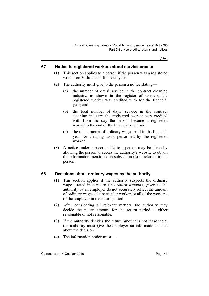[s 67]

### **67 Notice to registered workers about service credits**

- (1) This section applies to a person if the person was a registered worker on 30 June of a financial year.
- (2) The authority must give to the person a notice stating—
	- (a) the number of days' service in the contract cleaning industry, as shown in the register of workers, the registered worker was credited with for the financial year; and
	- (b) the total number of days' service in the contract cleaning industry the registered worker was credited with from the day the person became a registered worker to the end of the financial year; and
	- (c) the total amount of ordinary wages paid in the financial year for cleaning work performed by the registered worker.
- (3) A notice under subsection (2) to a person may be given by allowing the person to access the authority's website to obtain the information mentioned in subsection (2) in relation to the person.

### **68 Decisions about ordinary wages by the authority**

- (1) This section applies if the authority suspects the ordinary wages stated in a return (the *return amount*) given to the authority by an employer do not accurately reflect the amount of ordinary wages of a particular worker, or all of the workers, of the employer in the return period.
- (2) After considering all relevant matters, the authority may decide the return amount for the return period is either reasonable or not reasonable.
- (3) If the authority decides the return amount is not reasonable, the authority must give the employer an information notice about the decision.
- (4) The information notice must—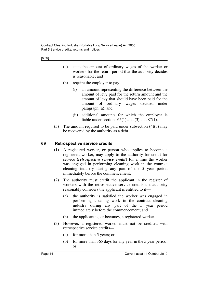- (a) state the amount of ordinary wages of the worker or workers for the return period that the authority decides is reasonable; and
- (b) require the employer to pay—
	- (i) an amount representing the difference between the amount of levy paid for the return amount and the amount of levy that should have been paid for the amount of ordinary wages decided under paragraph (a); and
	- (ii) additional amounts for which the employer is liable under sections 65(1) and (3) and 87(1).
- (5) The amount required to be paid under subsection (4)(b) may be recovered by the authority as a debt.

### **69 Retrospective service credits**

- (1) A registered worker, or person who applies to become a registered worker, may apply to the authority for credit for service (*retrospective service credit*) for a time the worker was engaged in performing cleaning work in the contract cleaning industry during any part of the 5 year period immediately before the commencement.
- (2) The authority must credit the applicant in the register of workers with the retrospective service credits the authority reasonably considers the applicant is entitled to if—
	- (a) the authority is satisfied the worker was engaged in performing cleaning work in the contract cleaning industry during any part of the 5 year period immediately before the commencement; and
	- (b) the applicant is, or becomes, a registered worker.
- (3) However, a registered worker must not be credited with retrospective service credits—
	- (a) for more than 5 years; or
	- (b) for more than 365 days for any year in the 5 year period; or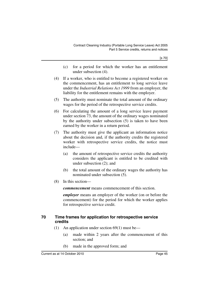[s 70]

- (c) for a period for which the worker has an entitlement under subsection (4).
- (4) If a worker, who is entitled to become a registered worker on the commencement, has an entitlement to long service leave under the *Industrial Relations Act 1999* from an employer, the liability for the entitlement remains with the employer.
- (5) The authority must nominate the total amount of the ordinary wages for the period of the retrospective service credits.
- (6) For calculating the amount of a long service leave payment under section 73, the amount of the ordinary wages nominated by the authority under subsection (5) is taken to have been earned by the worker in a return period.
- (7) The authority must give the applicant an information notice about the decision and, if the authority credits the registered worker with retrospective service credits, the notice must include—
	- (a) the amount of retrospective service credits the authority considers the applicant is entitled to be credited with under subsection (2); and
	- (b) the total amount of the ordinary wages the authority has nominated under subsection (5).
- (8) In this section—

*commencement* means commencement of this section.

*employer* means an employer of the worker (on or before the commencement) for the period for which the worker applies for retrospective service credit.

### **70 Time frames for application for retrospective service credits**

- (1) An application under section 69(1) must be—
	- (a) made within 2 years after the commencement of this section; and
	- (b) made in the approved form; and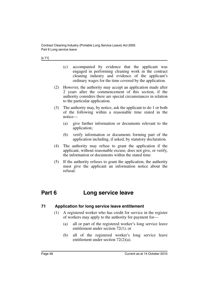- (c) accompanied by evidence that the applicant was engaged in performing cleaning work in the contract cleaning industry and evidence of the applicant's ordinary wages for the time covered by the application.
- (2) However, the authority may accept an application made after 2 years after the commencement of this section, if the authority considers there are special circumstances in relation to the particular application.
- (3) The authority may, by notice, ask the applicant to do 1 or both of the following within a reasonable time stated in the notice—
	- (a) give further information or documents relevant to the application;
	- (b) verify information or documents forming part of the application including, if asked, by statutory declaration.
- (4) The authority may refuse to grant the application if the applicant, without reasonable excuse, does not give, or verify, the information or documents within the stated time.
- (5) If the authority refuses to grant the application, the authority must give the applicant an information notice about the refusal.

# **Part 6 Long service leave**

### **71 Application for long service leave entitlement**

- (1) A registered worker who has credit for service in the register of workers may apply to the authority for payment for—
	- (a) all or part of the registered worker's long service leave entitlement under section 72(1); or
	- (b) all of the registered worker's long service leave entitlement under section 72(2)(a).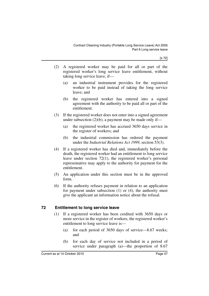[s 72]

- (2) A registered worker may be paid for all or part of the registered worker's long service leave entitlement, without taking long service leave, if—
	- (a) an industrial instrument provides for the registered worker to be paid instead of taking the long service leave; and
	- (b) the registered worker has entered into a signed agreement with the authority to be paid all or part of the entitlement.
- (3) If the registered worker does not enter into a signed agreement under subsection  $(2)(b)$ , a payment may be made only if—
	- (a) the registered worker has accrued 3650 days service in the register of workers; and
	- (b) the industrial commission has ordered the payment under the *Industrial Relations Act 1999*, section 53(3).
- (4) If a registered worker has died and, immediately before the death, the registered worker had an entitlement to long service leave under section 72(1), the registered worker's personal representative may apply to the authority for payment for the entitlement.
- (5) An application under this section must be in the approved form.
- (6) If the authority refuses payment in relation to an application for payment under subsection (1) or (4), the authority must give the applicant an information notice about the refusal.

### **72 Entitlement to long service leave**

- (1) If a registered worker has been credited with 3650 days or more service in the register of workers, the registered worker's entitlement to long service leave is—
	- (a) for each period of 3650 days of service—8.67 weeks; and
	- (b) for each day of service not included in a period of service under paragraph (a)—the proportion of 8.67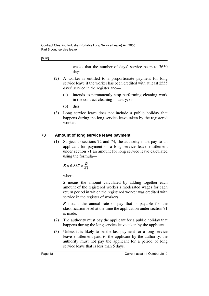[s 73]

weeks that the number of days' service bears to 3650 days.

- (2) A worker is entitled to a proportionate payment for long service leave if the worker has been credited with at least 2555 days' service in the register and—
	- (a) intends to permanently stop performing cleaning work in the contract cleaning industry; or
	- (b) dies.
- (3) Long service leave does not include a public holiday that happens during the long service leave taken by the registered worker.

### **73 Amount of long service leave payment**

(1) Subject to sections 72 and 74, the authority must pay to an applicant for payment of a long service leave entitlement under section 71 an amount for long service leave calculated using the formula—

$$
S \times 0.867 \times \frac{R}{52}
$$

where—

*S* means the amount calculated by adding together each amount of the registered worker's moderated wages for each return period in which the registered worker was credited with service in the register of workers.

*R* means the annual rate of pay that is payable for the classification level at the time the application under section 71 is made.

- (2) The authority must pay the applicant for a public holiday that happens during the long service leave taken by the applicant.
- (3) Unless it is likely to be the last payment for a long service leave entitlement paid to the applicant by the authority, the authority must not pay the applicant for a period of long service leave that is less than 5 days.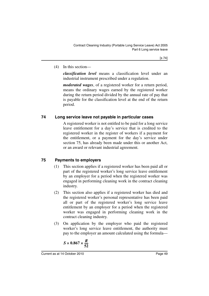### (4) In this section—

*classification level* means a classification level under an industrial instrument prescribed under a regulation.

*moderated wages*, of a registered worker for a return period, means the ordinary wages earned by the registered worker during the return period divided by the annual rate of pay that is payable for the classification level at the end of the return period.

### **74 Long service leave not payable in particular cases**

A registered worker is not entitled to be paid for a long service leave entitlement for a day's service that is credited to the registered worker in the register of workers if a payment for the entitlement, or a payment for the day's service under section 75, has already been made under this or another Act, or an award or relevant industrial agreement.

### **75 Payments to employers**

- (1) This section applies if a registered worker has been paid all or part of the registered worker's long service leave entitlement by an employer for a period when the registered worker was engaged in performing cleaning work in the contract cleaning industry.
- (2) This section also applies if a registered worker has died and the registered worker's personal representative has been paid all or part of the registered worker's long service leave entitlement by an employer for a period when the registered worker was engaged in performing cleaning work in the contract cleaning industry.
- (3) On application by the employer who paid the registered worker's long service leave entitlement, the authority must pay to the employer an amount calculated using the formula—

$$
S \times 0.867 \times \frac{R}{52}
$$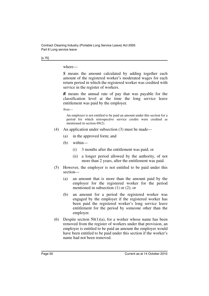[s 75]

where—

*S* means the amount calculated by adding together each amount of the registered worker's moderated wages for each return period in which the registered worker was credited with service in the register of workers.

*R* means the annual rate of pay that was payable for the classification level at the time the long service leave entitlement was paid by the employer.

*Note—*

An employer is not entitled to be paid an amount under this section for a period for which retrospective service credits were credited as mentioned in section 69(2).

- (4) An application under subsection (3) must be made—
	- (a) in the approved form; and
	- (b) within—
		- (i) 3 months after the entitlement was paid; or
		- (ii) a longer period allowed by the authority, of not more than 2 years, after the entitlement was paid.
- (5) However, the employer is not entitled to be paid under this section—
	- (a) an amount that is more than the amount paid by the employer for the registered worker for the period mentioned in subsection (1) or (2); or
	- (b) an amount for a period the registered worker was engaged by the employer if the registered worker has been paid the registered worker's long service leave entitlement for the period by someone other than the employer.
- (6) Despite section  $50(1)(a)$ , for a worker whose name has been removed from the register of workers under that provision, an employer is entitled to be paid an amount the employer would have been entitled to be paid under this section if the worker's name had not been removed.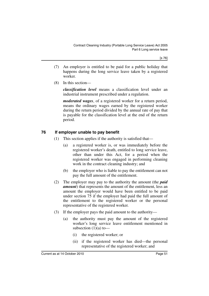[s 76]

- (7) An employer is entitled to be paid for a public holiday that happens during the long service leave taken by a registered worker.
- (8) In this section—

*classification level* means a classification level under an industrial instrument prescribed under a regulation.

*moderated wages*, of a registered worker for a return period, means the ordinary wages earned by the registered worker during the return period divided by the annual rate of pay that is payable for the classification level at the end of the return period.

### **76 If employer unable to pay benefit**

- (1) This section applies if the authority is satisfied that—
	- (a) a registered worker is, or was immediately before the registered worker's death, entitled to long service leave, other than under this Act, for a period when the registered worker was engaged in performing cleaning work in the contract cleaning industry; and
	- (b) the employer who is liable to pay the entitlement can not pay the full amount of the entitlement.
- (2) The employer may pay to the authority the amount (the *paid amount*) that represents the amount of the entitlement, less an amount the employer would have been entitled to be paid under section 75 if the employer had paid the full amount of the entitlement to the registered worker or the personal representative of the registered worker.
- (3) If the employer pays the paid amount to the authority—
	- (a) the authority must pay the amount of the registered worker's long service leave entitlement mentioned in subsection  $(1)(a)$  to —
		- (i) the registered worker; or
		- (ii) if the registered worker has died—the personal representative of the registered worker; and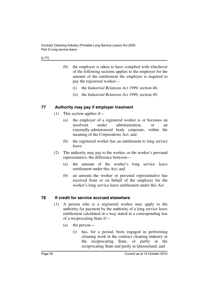- (b) the employer is taken to have complied with whichever of the following sections applies to the employer for the amount of the entitlement the employer is required to pay the registered worker—
	- (i) the *Industrial Relations Act 1999*, section 46;
	- (ii) the *Industrial Relations Act 1999*, section 49.

### **77 Authority may pay if employer insolvent**

- (1) This section applies if—
	- (a) the employer of a registered worker is or becomes an insolvent under administration, or an externally-administered body corporate, within the meaning of the Corporations Act; and
	- (b) the registered worker has an entitlement to long service leave.
- (2) The authority may pay to the worker, or the worker's personal representative, the difference between—
	- (a) the amount of the worker's long service leave entitlement under this Act; and
	- (b) an amount the worker or personal representative has received from or on behalf of the employer for the worker's long service leave entitlement under this Act.

### **78 If credit for service accrued elsewhere**

- (1) A person who is a registered worker may apply to the authority for payment by the authority of a long service leave entitlement calculated in a way stated in a corresponding law of a reciprocating State if—
	- (a) the person—
		- (i) has, for a period, been engaged in performing cleaning work in the contract cleaning industry in the reciprocating State, or partly in the reciprocating State and partly in Queensland; and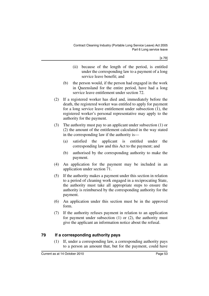[s 79]

- (ii) because of the length of the period, is entitled under the corresponding law to a payment of a long service leave benefit; and
- (b) the person would, if the person had engaged in the work in Queensland for the entire period, have had a long service leave entitlement under section 72.
- (2) If a registered worker has died and, immediately before the death, the registered worker was entitled to apply for payment for a long service leave entitlement under subsection (1), the registered worker's personal representative may apply to the authority for the payment.
- (3) The authority must pay to an applicant under subsection (1) or (2) the amount of the entitlement calculated in the way stated in the corresponding law if the authority is—
	- (a) satisfied the applicant is entitled under the corresponding law and this Act to the payment; and
	- (b) authorised by the corresponding authority to make the payment.
- (4) An application for the payment may be included in an application under section 71.
- (5) If the authority makes a payment under this section in relation to a period of cleaning work engaged in a reciprocating State, the authority must take all appropriate steps to ensure the authority is reimbursed by the corresponding authority for the payment.
- (6) An application under this section must be in the approved form.
- (7) If the authority refuses payment in relation to an application for payment under subsection  $(1)$  or  $(2)$ , the authority must give the applicant an information notice about the refusal.

### **79 If a corresponding authority pays**

(1) If, under a corresponding law, a corresponding authority pays to a person an amount that, but for the payment, could have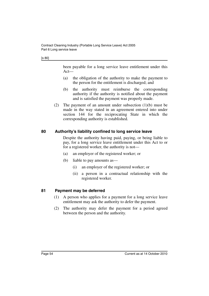[s 80]

been payable for a long service leave entitlement under this Act—

- (a) the obligation of the authority to make the payment to the person for the entitlement is discharged; and
- (b) the authority must reimburse the corresponding authority if the authority is notified about the payment and is satisfied the payment was properly made.
- (2) The payment of an amount under subsection (1)(b) must be made in the way stated in an agreement entered into under section 144 for the reciprocating State in which the corresponding authority is established.

### **80 Authority's liability confined to long service leave**

Despite the authority having paid, paying, or being liable to pay, for a long service leave entitlement under this Act to or for a registered worker, the authority is not—

- (a) an employer of the registered worker; or
- (b) liable to pay amounts as—
	- (i) an employer of the registered worker; or
	- (ii) a person in a contractual relationship with the registered worker.

### **81 Payment may be deferred**

- (1) A person who applies for a payment for a long service leave entitlement may ask the authority to defer the payment.
- (2) The authority may defer the payment for a period agreed between the person and the authority.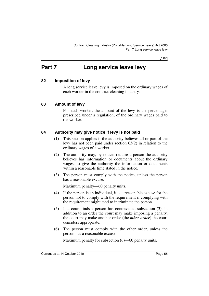[s 82]

# **Part 7 Long service leave levy**

### **82 Imposition of levy**

A long service leave levy is imposed on the ordinary wages of each worker in the contract cleaning industry.

### **83 Amount of levy**

For each worker, the amount of the levy is the percentage, prescribed under a regulation, of the ordinary wages paid to the worker.

### **84 Authority may give notice if levy is not paid**

- (1) This section applies if the authority believes all or part of the levy has not been paid under section 63(2) in relation to the ordinary wages of a worker.
- (2) The authority may, by notice, require a person the authority believes has information or documents about the ordinary wages, to give the authority the information or documents within a reasonable time stated in the notice.
- (3) The person must comply with the notice, unless the person has a reasonable excuse.

Maximum penalty—60 penalty units.

- (4) If the person is an individual, it is a reasonable excuse for the person not to comply with the requirement if complying with the requirement might tend to incriminate the person.
- (5) If a court finds a person has contravened subsection (3), in addition to an order the court may make imposing a penalty, the court may make another order (the *other order*) the court considers appropriate.
- (6) The person must comply with the other order, unless the person has a reasonable excuse.

Maximum penalty for subsection (6)—60 penalty units.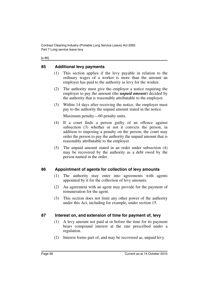#### [s 85]

### **85 Additional levy payments**

- (1) This section applies if the levy payable in relation to the ordinary wages of a worker is more than the amount an employer has paid to the authority as levy for the worker.
- (2) The authority must give the employer a notice requiring the employer to pay the amount (the *unpaid amount*) decided by the authority that is reasonably attributable to the employer.
- (3) Within 14 days after receiving the notice, the employer must pay to the authority the unpaid amount stated in the notice.

Maximum penalty—60 penalty units.

- (4) If a court finds a person guilty of an offence against subsection (3) whether or not it convicts the person, in addition to imposing a penalty on the person, the court may order the person to pay the authority the unpaid amount that is reasonably attributable to the employer.
- (5) The unpaid amount stated in an order under subsection (4) may be recovered by the authority as a debt owed by the person named in the order.

### **86 Appointment of agents for collection of levy amounts**

- (1) The authority may enter into agreements with agents appointed by it for the collection of levy amounts.
- (2) An agreement with an agent may provide for the payment of remuneration for the agent.
- (3) This section does not limit any other power of the authority under this Act, including for example, under section 15.

### **87 Interest on, and extension of time for payment of, levy**

- (1) A levy amount not paid at or before the time for its payment bears compound interest at the rate prescribed under a regulation.
- (2) Interest forms part of, and may be recovered as, unpaid levy.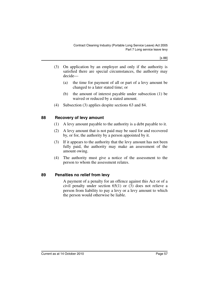[s 88]

- (3) On application by an employer and only if the authority is satisfied there are special circumstances, the authority may decide—
	- (a) the time for payment of all or part of a levy amount be changed to a later stated time; or
	- (b) the amount of interest payable under subsection (1) be waived or reduced by a stated amount.
- (4) Subsection (3) applies despite sections 63 and 84.

### **88 Recovery of levy amount**

- (1) A levy amount payable to the authority is a debt payable to it.
- (2) A levy amount that is not paid may be sued for and recovered by, or for, the authority by a person appointed by it.
- (3) If it appears to the authority that the levy amount has not been fully paid, the authority may make an assessment of the amount owing.
- (4) The authority must give a notice of the assessment to the person to whom the assessment relates.

### **89 Penalties no relief from levy**

A payment of a penalty for an offence against this Act or of a civil penalty under section 65(1) or (3) does not relieve a person from liability to pay a levy or a levy amount to which the person would otherwise be liable.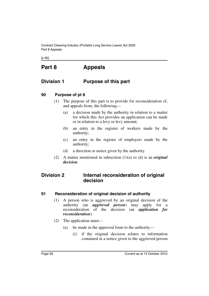Contract Cleaning Industry (Portable Long Service Leave) Act 2005 Part 8 Appeals

[s 90]

# **Part 8 Appeals**

## **Division 1 Purpose of this part**

### **90 Purpose of pt 8**

- (1) The purpose of this part is to provide for reconsideration of, and appeals from, the following—
	- (a) a decision made by the authority in relation to a matter for which this Act provides an application can be made or in relation to a levy or levy amount;
	- (b) an entry in the register of workers made by the authority;
	- (c) an entry in the register of employers made by the authority;
	- (d) a direction or notice given by the authority.
- (2) A matter mentioned in subsection (1)(a) to (d) is an *original decision*.

## **Division 2 Internal reconsideration of original decision**

### **91 Reconsideration of original decision of authority**

- (1) A person who is aggrieved by an original decision of the authority (an *aggrieved person*) may apply for a reconsideration of the decision (an *application for reconsideration*).
- (2) The application must—
	- (a) be made in the approved form to the authority—
		- (i) if the original decision relates to information contained in a notice given to the aggrieved person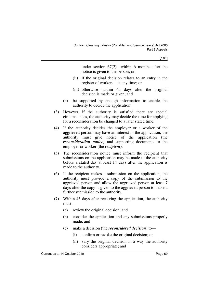under section 67(2)—within 6 months after the notice is given to the person; or

- (ii) if the original decision relates to an entry in the register of workers—at any time; or
- (iii) otherwise—within 45 days after the original decision is made or given; and
- (b) be supported by enough information to enable the authority to decide the application.
- (3) However, if the authority is satisfied there are special circumstances, the authority may decide the time for applying for a reconsideration be changed to a later stated time.
- (4) If the authority decides the employer or a worker of the aggrieved person may have an interest in the application, the authority must give notice of the application (the *reconsideration notice)* and supporting documents to the employer or worker (the *recipient*).
- (5) The reconsideration notice must inform the recipient that submissions on the application may be made to the authority before a stated day at least 14 days after the application is made to the authority.
- (6) If the recipient makes a submission on the application, the authority must provide a copy of the submission to the aggrieved person and allow the aggrieved person at least 7 days after the copy is given to the aggrieved person to make a further submission to the authority.
- (7) Within 45 days after receiving the application, the authority must—
	- (a) review the original decision; and
	- (b) consider the application and any submissions properly made; and
	- (c) make a decision (the *reconsidered decision*) to—
		- (i) confirm or revoke the original decision; or
		- (ii) vary the original decision in a way the authority considers appropriate; and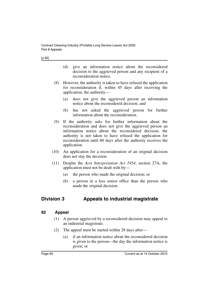- (d) give an information notice about the reconsidered decision to the aggrieved person and any recipient of a reconsideration notice.
- (8) However, the authority is taken to have refused the application for reconsideration if, within 45 days after receiving the application, the authority—
	- (a) does not give the aggrieved person an information notice about the reconsidered decision; and
	- (b) has not asked the aggrieved person for further information about the reconsideration.
- (9) If the authority asks for further information about the reconsideration and does not give the aggrieved person an information notice about the reconsidered decision, the authority is not taken to have refused the application for reconsideration until 60 days after the authority receives the application.
- (10) An application for a reconsideration of an original decision does not stay the decision.
- (11) Despite the *Acts Interpretation Act 1954*, section 27A, the application must not be dealt with by—
	- (a) the person who made the original decision; or
	- (b) a person in a less senior office than the person who made the original decision.

# **Division 3 Appeals to industrial magistrate**

### **92 Appeal**

- (1) A person aggrieved by a reconsidered decision may appeal to an industrial magistrate.
- (2) The appeal must be started within 28 days after—
	- (a) if an information notice about the reconsidered decision is given to the person—the day the information notice is given; or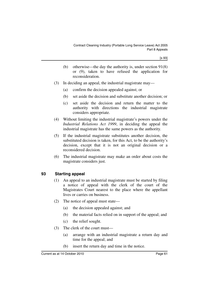- (b) otherwise—the day the authority is, under section 91(8) or (9), taken to have refused the application for reconsideration.
- (3) In deciding an appeal, the industrial magistrate may—
	- (a) confirm the decision appealed against; or
	- (b) set aside the decision and substitute another decision; or
	- (c) set aside the decision and return the matter to the authority with directions the industrial magistrate considers appropriate.
- (4) Without limiting the industrial magistrate's powers under the *Industrial Relations Act 1999*, in deciding the appeal the industrial magistrate has the same powers as the authority.
- (5) If the industrial magistrate substitutes another decision, the substituted decision is taken, for this Act, to be the authority's decision, except that it is not an original decision or a reconsidered decision.
- (6) The industrial magistrate may make an order about costs the magistrate considers just.

### **93 Starting appeal**

- (1) An appeal to an industrial magistrate must be started by filing a notice of appeal with the clerk of the court of the Magistrates Court nearest to the place where the appellant lives or carries on business.
- (2) The notice of appeal must state—
	- (a) the decision appealed against; and
	- (b) the material facts relied on in support of the appeal; and
	- (c) the relief sought.
- (3) The clerk of the court must—
	- (a) arrange with an industrial magistrate a return day and time for the appeal; and
	- (b) insert the return day and time in the notice.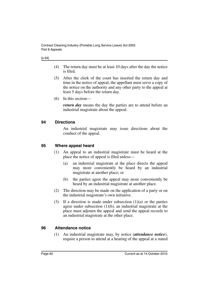#### [s 94]

- (4) The return day must be at least 10 days after the day the notice is filed.
- (5) After the clerk of the court has inserted the return day and time in the notice of appeal, the appellant must serve a copy of the notice on the authority and any other party to the appeal at least 5 days before the return day.
- (6) In this section—

*return day* means the day the parties are to attend before an industrial magistrate about the appeal.

### **94 Directions**

An industrial magistrate may issue directions about the conduct of the appeal.

### **95 Where appeal heard**

- (1) An appeal to an industrial magistrate must be heard at the place the notice of appeal is filed unless—
	- (a) an industrial magistrate at the place directs the appeal may more conveniently be heard by an industrial magistrate at another place; or
	- (b) the parties agree the appeal may more conveniently be heard by an industrial magistrate at another place.
- (2) The direction may be made on the application of a party or on the industrial magistrate's own initiative.
- (3) If a direction is made under subsection  $(1)(a)$  or the parties agree under subsection (1)(b), an industrial magistrate at the place must adjourn the appeal and send the appeal records to an industrial magistrate at the other place.

### **96 Attendance notice**

(1) An industrial magistrate may, by notice (*attendance notice*), require a person to attend at a hearing of the appeal at a stated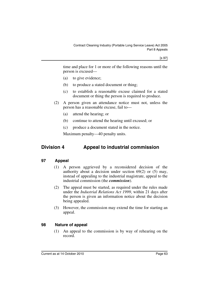time and place for 1 or more of the following reasons until the person is excused—

- (a) to give evidence;
- (b) to produce a stated document or thing;
- (c) to establish a reasonable excuse claimed for a stated document or thing the person is required to produce.
- (2) A person given an attendance notice must not, unless the person has a reasonable excuse, fail to—
	- (a) attend the hearing; or
	- (b) continue to attend the hearing until excused; or
	- (c) produce a document stated in the notice.

Maximum penalty—40 penalty units.

# **Division 4 Appeal to industrial commission**

### **97 Appeal**

- (1) A person aggrieved by a reconsidered decision of the authority about a decision under section 69(2) or (5) may, instead of appealing to the industrial magistrate, appeal to the industrial commission (the *commission*).
- (2) The appeal must be started, as required under the rules made under the *Industrial Relations Act 1999*, within 21 days after the person is given an information notice about the decision being appealed.
- (3) However, the commission may extend the time for starting an appeal.

### **98 Nature of appeal**

(1) An appeal to the commission is by way of rehearing on the record.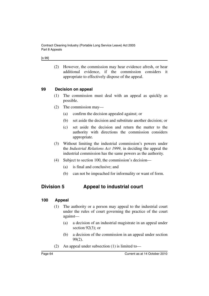#### [s 99]

(2) However, the commission may hear evidence afresh, or hear additional evidence, if the commission considers it appropriate to effectively dispose of the appeal.

### **99 Decision on appeal**

- (1) The commission must deal with an appeal as quickly as possible.
- (2) The commission may—
	- (a) confirm the decision appealed against; or
	- (b) set aside the decision and substitute another decision; or
	- (c) set aside the decision and return the matter to the authority with directions the commission considers appropriate.
- (3) Without limiting the industrial commission's powers under the *Industrial Relations Act 1999*, in deciding the appeal the industrial commission has the same powers as the authority.
- (4) Subject to section 100, the commission's decision—
	- (a) is final and conclusive; and
	- (b) can not be impeached for informality or want of form.

## **Division 5 Appeal to industrial court**

### **100 Appeal**

- (1) The authority or a person may appeal to the industrial court under the rules of court governing the practice of the court against—
	- (a) a decision of an industrial magistrate in an appeal under section 92(3); or
	- (b) a decision of the commission in an appeal under section 99(2).
- (2) An appeal under subsection (1) is limited to—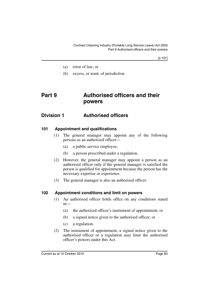[s 101]

- (a) error of law; or
- (b) excess, or want, of jurisdiction.

# **Part 9 Authorised officers and their powers**

## **Division 1 Authorised officers**

### **101 Appointment and qualifications**

- (1) The general manager may appoint any of the following persons as an authorised officer—
	- (a) a public service employee;
	- (b) a person prescribed under a regulation.
- (2) However, the general manager may appoint a person as an authorised officer only if the general manager is satisfied the person is qualified for appointment because the person has the necessary expertise or experience.
- (3) The general manager is also an authorised officer.

### **102 Appointment conditions and limit on powers**

- (1) An authorised officer holds office on any conditions stated in—
	- (a) the authorised officer's instrument of appointment; or
	- (b) a signed notice given to the authorised officer; or
	- (c) a regulation.
- (2) The instrument of appointment, a signed notice given to the authorised officer or a regulation may limit the authorised officer's powers under this Act.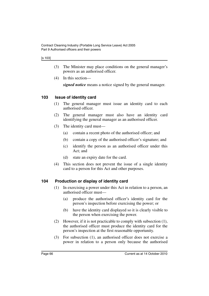#### [s 103]

- (3) The Minister may place conditions on the general manager's powers as an authorised officer.
- (4) In this section—

*signed notice* means a notice signed by the general manager.

### **103 Issue of identity card**

- (1) The general manager must issue an identity card to each authorised officer.
- (2) The general manager must also have an identity card identifying the general manager as an authorised officer.
- (3) The identity card must—
	- (a) contain a recent photo of the authorised officer; and
	- (b) contain a copy of the authorised officer's signature; and
	- (c) identify the person as an authorised officer under this Act; and
	- (d) state an expiry date for the card.
- (4) This section does not prevent the issue of a single identity card to a person for this Act and other purposes.

### **104 Production or display of identity card**

- (1) In exercising a power under this Act in relation to a person, an authorised officer must—
	- (a) produce the authorised officer's identity card for the person's inspection before exercising the power; or
	- (b) have the identity card displayed so it is clearly visible to the person when exercising the power.
- (2) However, if it is not practicable to comply with subsection (1), the authorised officer must produce the identity card for the person's inspection at the first reasonable opportunity.
- (3) For subsection (1), an authorised officer does not exercise a power in relation to a person only because the authorised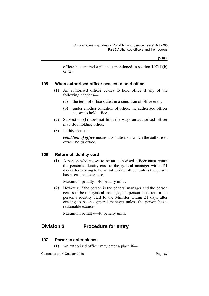officer has entered a place as mentioned in section 107(1)(b) or (2).

### **105 When authorised officer ceases to hold office**

- (1) An authorised officer ceases to hold office if any of the following happens—
	- (a) the term of office stated in a condition of office ends;
	- (b) under another condition of office, the authorised officer ceases to hold office.
- (2) Subsection (1) does not limit the ways an authorised officer may stop holding office.
- (3) In this section—

*condition of office* means a condition on which the authorised officer holds office.

### **106 Return of identity card**

(1) A person who ceases to be an authorised officer must return the person's identity card to the general manager within 21 days after ceasing to be an authorised officer unless the person has a reasonable excuse.

Maximum penalty—40 penalty units.

(2) However, if the person is the general manager and the person ceases to be the general manager, the person must return the person's identity card to the Minister within 21 days after ceasing to be the general manager unless the person has a reasonable excuse.

Maximum penalty—40 penalty units.

## **Division 2 Procedure for entry**

### **107 Power to enter places**

(1) An authorised officer may enter a place if—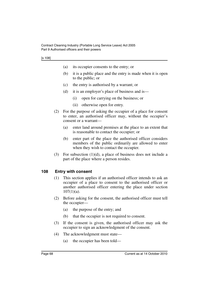|                           | (a)                                                                                                                                                   | its occupier consents to the entry; or                                                                                                                                                                         |  |
|---------------------------|-------------------------------------------------------------------------------------------------------------------------------------------------------|----------------------------------------------------------------------------------------------------------------------------------------------------------------------------------------------------------------|--|
|                           | (b)                                                                                                                                                   | it is a public place and the entry is made when it is open<br>to the public; or                                                                                                                                |  |
|                           | (c)                                                                                                                                                   | the entry is authorised by a warrant; or                                                                                                                                                                       |  |
|                           | (d)                                                                                                                                                   | it is an employer's place of business and is—                                                                                                                                                                  |  |
|                           |                                                                                                                                                       | open for carrying on the business; or<br>(i)                                                                                                                                                                   |  |
|                           |                                                                                                                                                       | otherwise open for entry.<br>(ii)                                                                                                                                                                              |  |
| (2)                       | For the purpose of asking the occupier of a place for consent<br>to enter, an authorised officer may, without the occupier's<br>consent or a warrant- |                                                                                                                                                                                                                |  |
|                           | (a)                                                                                                                                                   | enter land around premises at the place to an extent that<br>is reasonable to contact the occupier; or                                                                                                         |  |
|                           | (b)                                                                                                                                                   | enter part of the place the authorised officer considers<br>members of the public ordinarily are allowed to enter<br>when they wish to contact the occupier.                                                   |  |
| (3)                       |                                                                                                                                                       | For subsection $(1)(d)$ , a place of business does not include a<br>part of the place where a person resides.                                                                                                  |  |
| <b>Entry with consent</b> |                                                                                                                                                       |                                                                                                                                                                                                                |  |
| (1)                       |                                                                                                                                                       | This section applies if an authorised officer intends to ask an<br>occupier of a place to consent to the authorised officer or<br>another authorised officer entering the place under section<br>$107(1)(a)$ . |  |

- (2) Before asking for the consent, the authorised officer must tell the occupier—
	- (a) the purpose of the entry; and
	- (b) that the occupier is not required to consent.
- (3) If the consent is given, the authorised officer may ask the occupier to sign an acknowledgment of the consent.
- (4) The acknowledgment must state—
	- (a) the occupier has been told—

**108**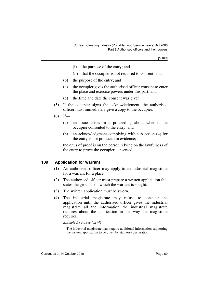[s 109]

- (i) the purpose of the entry; and
- (ii) that the occupier is not required to consent; and
- (b) the purpose of the entry; and
- (c) the occupier gives the authorised officer consent to enter the place and exercise powers under this part; and
- (d) the time and date the consent was given.
- (5) If the occupier signs the acknowledgment, the authorised officer must immediately give a copy to the occupier.
- $(6)$  If—
	- (a) an issue arises in a proceeding about whether the occupier consented to the entry; and
	- (b) an acknowledgment complying with subsection (4) for the entry is not produced in evidence;

the onus of proof is on the person relying on the lawfulness of the entry to prove the occupier consented.

### **109 Application for warrant**

- (1) An authorised officer may apply to an industrial magistrate for a warrant for a place.
- (2) The authorised officer must prepare a written application that states the grounds on which the warrant is sought.
- (3) The written application must be sworn.
- (4) The industrial magistrate may refuse to consider the application until the authorised officer gives the industrial magistrate all the information the industrial magistrate requires about the application in the way the magistrate requires.

#### *Example for subsection (4)—*

The industrial magistrate may require additional information supporting the written application to be given by statutory declaration.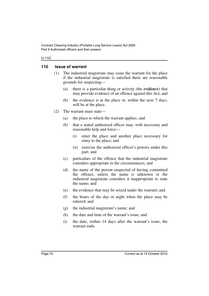#### [s 110]

### **110 Issue of warrant**

- (1) The industrial magistrate may issue the warrant for the place if the industrial magistrate is satisfied there are reasonable grounds for suspecting—
	- (a) there is a particular thing or activity (the *evidence*) that may provide evidence of an offence against this Act; and
	- (b) the evidence is at the place or, within the next 7 days, will be at the place.
- (2) The warrant must state—
	- (a) the place to which the warrant applies; and
	- (b) that a stated authorised officer may, with necessary and reasonable help and force—
		- (i) enter the place and another place necessary for entry to the place; and
		- (ii) exercise the authorised officer's powers under this part; and
	- (c) particulars of the offence that the industrial magistrate considers appropriate in the circumstances; and
	- (d) the name of the person suspected of having committed the offence, unless the name is unknown or the industrial magistrate considers it inappropriate to state the name; and
	- (e) the evidence that may be seized under the warrant; and
	- (f) the hours of the day or night when the place may be entered; and
	- (g) the industrial magistrate's name; and
	- (h) the date and time of the warrant's issue; and
	- (i) the date, within 14 days after the warrant's issue, the warrant ends.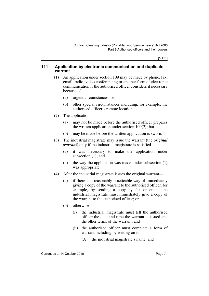[s 111]

#### **111 Application by electronic communication and duplicate warrant**

- (1) An application under section 109 may be made by phone, fax, email, radio, video conferencing or another form of electronic communication if the authorised officer considers it necessary because of—
	- (a) urgent circumstances; or
	- (b) other special circumstances including, for example, the authorised officer's remote location.
- (2) The application—
	- (a) may not be made before the authorised officer prepares the written application under section 109(2); but
	- (b) may be made before the written application is sworn.
- (3) The industrial magistrate may issue the warrant (the *original warrant*) only if the industrial magistrate is satisfied—
	- (a) it was necessary to make the application under subsection (1); and
	- (b) the way the application was made under subsection (1) was appropriate.
- (4) After the industrial magistrate issues the original warrant—
	- (a) if there is a reasonably practicable way of immediately giving a copy of the warrant to the authorised officer, for example, by sending a copy by fax or email, the industrial magistrate must immediately give a copy of the warrant to the authorised officer; or
	- (b) otherwise—
		- (i) the industrial magistrate must tell the authorised officer the date and time the warrant is issued and the other terms of the warrant; and
		- (ii) the authorised officer must complete a form of warrant including by writing on it—
			- (A) the industrial magistrate's name; and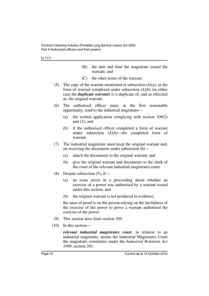- (B) the date and time the magistrate issued the warrant; and
- (C) the other terms of the warrant.
- (5) The copy of the warrant mentioned in subsection  $(4)(a)$ , or the form of warrant completed under subsection (4)(b) (in either case the *duplicate warrant***)** is a duplicate of, and as effectual as, the original warrant.
- (6) The authorised officer must, at the first reasonable opportunity, send to the industrial magistrate—
	- (a) the written application complying with section 109(2) and  $(3)$ ; and
	- (b) if the authorised officer completed a form of warrant under subsection (4)(b)—the completed form of warrant.
- (7) The industrial magistrate must keep the original warrant and, on receiving the documents under subsection (6)—
	- (a) attach the documents to the original warrant; and
	- (b) give the original warrant and documents to the clerk of the court of the relevant industrial magistrates court.
- (8) Despite subsection (5), if—
	- (a) an issue arises in a proceeding about whether an exercise of a power was authorised by a warrant issued under this section; and
	- (b) the original warrant is not produced in evidence;

the onus of proof is on the person relying on the lawfulness of the exercise of the power to prove a warrant authorised the exercise of the power.

- (9) This section does limit section 109.
- (10) In this section—

*relevant industrial magistrates court*, in relation to an industrial magistrate, means the Industrial Magistrates Court the magistrate constitutes under the *Industrial Relations Act 1999*, section 291.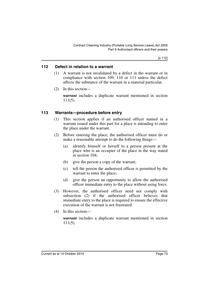#### **112 Defect in relation to a warrant**

- (1) A warrant is not invalidated by a defect in the warrant or in compliance with section 109, 110 or 111 unless the defect affects the substance of the warrant in a material particular.
- (2) In this section—

*warrant* includes a duplicate warrant mentioned in section 111(5).

#### **113 Warrants—procedure before entry**

- (1) This section applies if an authorised officer named in a warrant issued under this part for a place is intending to enter the place under the warrant.
- (2) Before entering the place, the authorised officer must do or make a reasonable attempt to do the following things—
	- (a) identify himself or herself to a person present at the place who is an occupier of the place in the way stated in section 104;
	- (b) give the person a copy of the warrant;
	- (c) tell the person the authorised officer is permitted by the warrant to enter the place;
	- (d) give the person an opportunity to allow the authorised officer immediate entry to the place without using force.
- (3) However, the authorised officer need not comply with subsection (2) if the authorised officer believes that immediate entry to the place is required to ensure the effective execution of the warrant is not frustrated.
- (4) In this section—

*warrant* includes a duplicate warrant mentioned in section 111(5).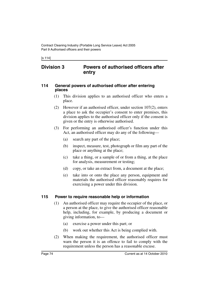[s 114]

## **Division 3 Powers of authorised officers after entry**

#### **114 General powers of authorised officer after entering places**

- (1) This division applies to an authorised officer who enters a place.
- (2) However if an authorised officer, under section 107(2), enters a place to ask the occupier's consent to enter premises, this division applies to the authorised officer only if the consent is given or the entry is otherwise authorised.
- (3) For performing an authorised officer's function under this Act, an authorised officer may do any of the following—
	- (a) search any part of the place;
	- (b) inspect, measure, test, photograph or film any part of the place or anything at the place;
	- (c) take a thing, or a sample of or from a thing, at the place for analysis, measurement or testing;
	- (d) copy, or take an extract from, a document at the place;
	- (e) take into or onto the place any person, equipment and materials the authorised officer reasonably requires for exercising a power under this division.

#### **115 Power to require reasonable help or information**

- (1) An authorised officer may require the occupier of the place, or a person at the place, to give the authorised officer reasonable help, including, for example, by producing a document or giving information, to—
	- (a) exercise a power under this part; or
	- (b) work out whether this Act is being complied with.
- (2) When making the requirement, the authorised officer must warn the person it is an offence to fail to comply with the requirement unless the person has a reasonable excuse.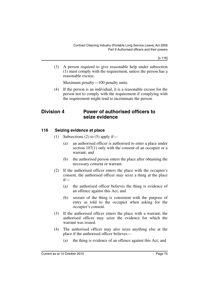[s 116]

(3) A person required to give reasonable help under subsection (1) must comply with the requirement, unless the person has a reasonable excuse.

Maximum penalty—100 penalty units.

(4) If the person is an individual, it is a reasonable excuse for the person not to comply with the requirement if complying with the requirement might tend to incriminate the person.

## **Division 4 Power of authorised officers to seize evidence**

## **116 Seizing evidence at place**

- (1) Subsections (2) to (5) apply if—
	- (a) an authorised officer is authorised to enter a place under section 107(1) only with the consent of an occupier or a warrant; and
	- (b) the authorised person enters the place after obtaining the necessary consent or warrant.
- (2) If the authorised officer enters the place with the occupier's consent, the authorised officer may seize a thing at the place if—
	- (a) the authorised officer believes the thing is evidence of an offence against this Act; and
	- (b) seizure of the thing is consistent with the purpose of entry as told to the occupier when asking for the occupier's consent.
- (3) If the authorised officer enters the place with a warrant, the authorised officer may seize the evidence for which the warrant was issued.
- (4) The authorised officer may also seize anything else at the place if the authorised officer believes—
	- (a) the thing is evidence of an offence against this Act; and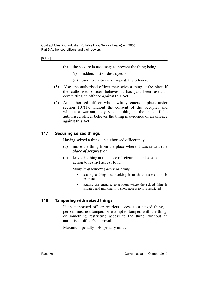#### [s 117]

- (b) the seizure is necessary to prevent the thing being—
	- (i) hidden, lost or destroyed; or
	- (ii) used to continue, or repeat, the offence.
- (5) Also, the authorised officer may seize a thing at the place if the authorised officer believes it has just been used in committing an offence against this Act.
- (6) An authorised officer who lawfully enters a place under section 107(1), without the consent of the occupier and without a warrant, may seize a thing at the place if the authorised officer believes the thing is evidence of an offence against this Act.

#### **117 Securing seized things**

Having seized a thing, an authorised officer may—

- (a) move the thing from the place where it was seized (the *place of seizure*); or
- (b) leave the thing at the place of seizure but take reasonable action to restrict access to it.

*Examples of restricting access to a thing—*

- sealing a thing and marking it to show access to it is restricted
- sealing the entrance to a room where the seized thing is situated and marking it to show access to it is restricted

#### **118 Tampering with seized things**

If an authorised officer restricts access to a seized thing, a person must not tamper, or attempt to tamper, with the thing, or something restricting access to the thing, without an authorised officer's approval.

Maximum penalty—40 penalty units.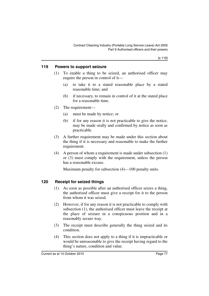#### **119 Powers to support seizure**

- (1) To enable a thing to be seized, an authorised officer may require the person in control of it—
	- (a) to take it to a stated reasonable place by a stated reasonable time; and
	- (b) if necessary, to remain in control of it at the stated place for a reasonable time.
- (2) The requirement—
	- (a) must be made by notice; or
	- (b) if for any reason it is not practicable to give the notice, may be made orally and confirmed by notice as soon as practicable.
- (3) A further requirement may be made under this section about the thing if it is necessary and reasonable to make the further requirement.
- (4) A person of whom a requirement is made under subsection (1) or (3) must comply with the requirement, unless the person has a reasonable excuse.

Maximum penalty for subsection (4)—100 penalty units.

## **120 Receipt for seized things**

- (1) As soon as possible after an authorised officer seizes a thing, the authorised officer must give a receipt for it to the person from whom it was seized.
- (2) However, if for any reason it is not practicable to comply with subsection (1), the authorised officer must leave the receipt at the place of seizure in a conspicuous position and in a reasonably secure way.
- (3) The receipt must describe generally the thing seized and its condition.
- (4) This section does not apply to a thing if it is impracticable or would be unreasonable to give the receipt having regard to the thing's nature, condition and value.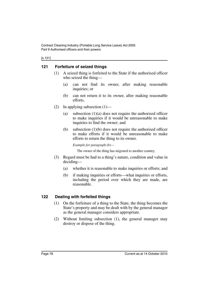Contract Cleaning Industry (Portable Long Service Leave) Act 2005 Part 9 Authorised officers and their powers

#### [s 121]

#### **121 Forfeiture of seized things**

- (1) A seized thing is forfeited to the State if the authorised officer who seized the thing—
	- (a) can not find its owner, after making reasonable inquiries; or
	- (b) can not return it to its owner, after making reasonable efforts.
- (2) In applying subsection  $(1)$ 
	- (a) subsection  $(1)(a)$  does not require the authorised officer to make inquiries if it would be unreasonable to make inquiries to find the owner; and
	- (b) subsection (1)(b) does not require the authorised officer to make efforts if it would be unreasonable to make efforts to return the thing to its owner.

*Example for paragraph (b)—*

The owner of the thing has migrated to another country.

- (3) Regard must be had to a thing's nature, condition and value in deciding—
	- (a) whether it is reasonable to make inquiries or efforts; and
	- (b) if making inquiries or efforts—what inquiries or efforts, including the period over which they are made, are reasonable.

#### **122 Dealing with forfeited things**

- (1) On the forfeiture of a thing to the State, the thing becomes the State's property and may be dealt with by the general manager as the general manager considers appropriate.
- (2) Without limiting subsection (1), the general manager may destroy or dispose of the thing.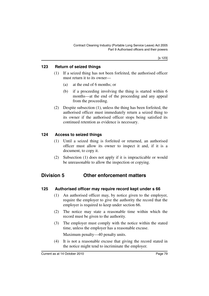### **123 Return of seized things**

- (1) If a seized thing has not been forfeited, the authorised officer must return it to its owner—
	- (a) at the end of 6 months; or
	- (b) if a proceeding involving the thing is started within 6 months—at the end of the proceeding and any appeal from the proceeding.
- (2) Despite subsection (1), unless the thing has been forfeited, the authorised officer must immediately return a seized thing to its owner if the authorised officer stops being satisfied its continued retention as evidence is necessary.

### **124 Access to seized things**

- (1) Until a seized thing is forfeited or returned, an authorised officer must allow its owner to inspect it and, if it is a document, to copy it.
- (2) Subsection (1) does not apply if it is impracticable or would be unreasonable to allow the inspection or copying.

# **Division 5 Other enforcement matters**

#### **125 Authorised officer may require record kept under s 66**

- (1) An authorised officer may, by notice given to the employer, require the employer to give the authority the record that the employer is required to keep under section 66.
- (2) The notice may state a reasonable time within which the record must be given to the authority.
- (3) The employer must comply with the notice within the stated time, unless the employer has a reasonable excuse.

Maximum penalty—40 penalty units.

(4) It is not a reasonable excuse that giving the record stated in the notice might tend to incriminate the employer.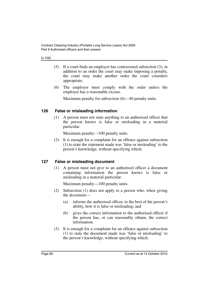[s 126]

- (5) If a court finds an employer has contravened subsection (3), in addition to an order the court may make imposing a penalty, the court may make another order the court considers appropriate.
- (6) The employer must comply with the order unless the employer has a reasonable excuse.

Maximum penalty for subsection (6)—40 penalty units.

### **126 False or misleading information**

(1) A person must not state anything to an authorised officer that the person knows is false or misleading in a material particular.

Maximum penalty—100 penalty units.

(2) It is enough for a complaint for an offence against subsection (1) to state the statement made was 'false or misleading' to the person's knowledge, without specifying which.

## **127 False or misleading document**

(1) A person must not give to an authorised officer a document containing information the person knows is false or misleading in a material particular.

Maximum penalty—100 penalty units.

- (2) Subsection (1) does not apply to a person who, when giving the document—
	- (a) informs the authorised officer, to the best of the person's ability, how it is false or misleading; and
	- (b) gives the correct information to the authorised officer if the person has, or can reasonably obtain, the correct information.
- (3) It is enough for a complaint for an offence against subsection (1) to state the document made was 'false or misleading' to the person's knowledge, without specifying which.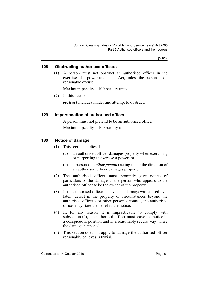[s 128]

#### **128 Obstructing authorised officers**

(1) A person must not obstruct an authorised officer in the exercise of a power under this Act, unless the person has a reasonable excuse.

Maximum penalty—100 penalty units.

(2) In this section—

*obstruct* includes hinder and attempt to obstruct.

#### **129 Impersonation of authorised officer**

A person must not pretend to be an authorised officer.

Maximum penalty—100 penalty units.

#### **130 Notice of damage**

- (1) This section applies if—
	- (a) an authorised officer damages property when exercising or purporting to exercise a power; or
	- (b) a person (the *other person*) acting under the direction of an authorised officer damages property.
- (2) The authorised officer must promptly give notice of particulars of the damage to the person who appears to the authorised officer to be the owner of the property.
- (3) If the authorised officer believes the damage was caused by a latent defect in the property or circumstances beyond the authorised officer's or other person's control, the authorised officer may state the belief in the notice.
- (4) If, for any reason, it is impracticable to comply with subsection (2), the authorised officer must leave the notice in a conspicuous position and in a reasonably secure way where the damage happened.
- (5) This section does not apply to damage the authorised officer reasonably believes is trivial.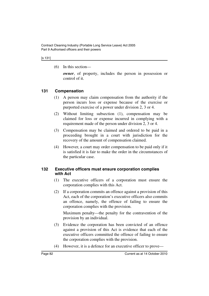#### [s 131]

(6) In this section—

*owner*, of property, includes the person in possession or control of it.

## **131 Compensation**

- (1) A person may claim compensation from the authority if the person incurs loss or expense because of the exercise or purported exercise of a power under division 2, 3 or 4.
- (2) Without limiting subsection (1), compensation may be claimed for loss or expense incurred in complying with a requirement made of the person under division 2, 3 or 4.
- (3) Compensation may be claimed and ordered to be paid in a proceeding brought in a court with jurisdiction for the recovery of the amount of compensation claimed.
- (4) However, a court may order compensation to be paid only if it is satisfied it is fair to make the order in the circumstances of the particular case.

#### **132 Executive officers must ensure corporation complies with Act**

- (1) The executive officers of a corporation must ensure the corporation complies with this Act.
- (2) If a corporation commits an offence against a provision of this Act, each of the corporation's executive officers also commits an offence, namely, the offence of failing to ensure the corporation complies with the provision.

Maximum penalty—the penalty for the contravention of the provision by an individual.

- (3) Evidence the corporation has been convicted of an offence against a provision of this Act is evidence that each of the executive officers committed the offence of failing to ensure the corporation complies with the provision.
- (4) However, it is a defence for an executive officer to prove—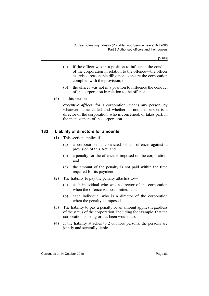[s 133]

- (a) if the officer was in a position to influence the conduct of the corporation in relation to the offence—the officer exercised reasonable diligence to ensure the corporation complied with the provision; or
- (b) the officer was not in a position to influence the conduct of the corporation in relation to the offence.
- (5) In this section—

*executive officer*, for a corporation, means any person, by whatever name called and whether or not the person is a director of the corporation, who is concerned, or takes part, in the management of the corporation.

### **133 Liability of directors for amounts**

- (1) This section applies if—
	- (a) a corporation is convicted of an offence against a provision of this Act; and
	- (b) a penalty for the offence is imposed on the corporation; and
	- (c) the amount of the penalty is not paid within the time required for its payment.
- (2) The liability to pay the penalty attaches to—
	- (a) each individual who was a director of the corporation when the offence was committed; and
	- (b) each individual who is a director of the corporation when the penalty is imposed.
- (3) The liability to pay a penalty or an amount applies regardless of the status of the corporation, including for example, that the corporation is being or has been wound up.
- (4) If the liability attaches to 2 or more persons, the persons are jointly and severally liable.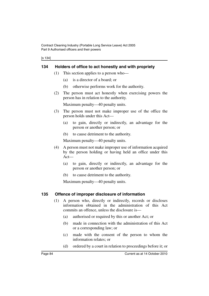Contract Cleaning Industry (Portable Long Service Leave) Act 2005 Part 9 Authorised officers and their powers

[s 134]

#### **134 Holders of office to act honestly and with propriety**

- (1) This section applies to a person who—
	- (a) is a director of a board; or
	- (b) otherwise performs work for the authority.
- (2) The person must act honestly when exercising powers the person has in relation to the authority.

Maximum penalty—40 penalty units.

- (3) The person must not make improper use of the office the person holds under this Act—
	- (a) to gain, directly or indirectly, an advantage for the person or another person; or
	- (b) to cause detriment to the authority.

Maximum penalty—40 penalty units.

- (4) A person must not make improper use of information acquired by the person holding or having held an office under this Act—
	- (a) to gain, directly or indirectly, an advantage for the person or another person; or
	- (b) to cause detriment to the authority.

Maximum penalty—40 penalty units.

#### **135 Offence of improper disclosure of information**

- (1) A person who, directly or indirectly, records or discloses information obtained in the administration of this Act commits an offence, unless the disclosure is—
	- (a) authorised or required by this or another Act; or
	- (b) made in connection with the administration of this Act or a corresponding law; or
	- (c) made with the consent of the person to whom the information relates; or
	- (d) ordered by a court in relation to proceedings before it; or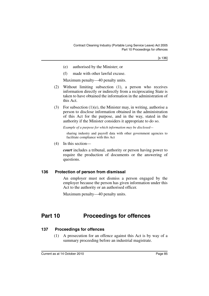[s 136]

- (e) authorised by the Minister; or
- (f) made with other lawful excuse.

Maximum penalty—40 penalty units.

- (2) Without limiting subsection (1), a person who receives information directly or indirectly from a reciprocating State is taken to have obtained the information in the administration of this Act.
- (3) For subsection  $(1)(e)$ , the Minister may, in writing, authorise a person to disclose information obtained in the administration of this Act for the purpose, and in the way, stated in the authority if the Minister considers it appropriate to do so.

*Example of a purpose for which information may be disclosed—*

sharing industry and payroll data with other government agencies to facilitate compliance with this Act

(4) In this section—

*court* includes a tribunal, authority or person having power to require the production of documents or the answering of questions.

#### **136 Protection of person from dismissal**

An employer must not dismiss a person engaged by the employer because the person has given information under this Act to the authority or an authorised officer.

Maximum penalty—40 penalty units.

# **Part 10 Proceedings for offences**

#### **137 Proceedings for offences**

(1) A prosecution for an offence against this Act is by way of a summary proceeding before an industrial magistrate.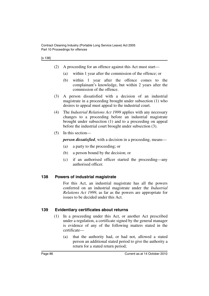- (2) A proceeding for an offence against this Act must start—
	- (a) within 1 year after the commission of the offence; or
	- (b) within 1 year after the offence comes to the complainant's knowledge, but within 2 years after the commission of the offence.
- (3) A person dissatisfied with a decision of an industrial magistrate in a proceeding brought under subsection (1) who desires to appeal must appeal to the industrial court.
- (4) The *Industrial Relations Act 1999* applies with any necessary changes to a proceeding before an industrial magistrate brought under subsection (1) and to a proceeding on appeal before the industrial court brought under subsection (3).
- (5) In this section—

*person dissatisfied*, with a decision in a proceeding, means—

- (a) a party to the proceeding; or
- (b) a person bound by the decision; or
- (c) if an authorised officer started the proceeding—any authorised officer.

#### **138 Powers of industrial magistrate**

For this Act, an industrial magistrate has all the powers conferred on an industrial magistrate under the *Industrial Relations Act 1999*, as far as the powers are appropriate for issues to be decided under this Act.

#### **139 Evidentiary certificates about returns**

- (1) In a proceeding under this Act, or another Act prescribed under a regulation, a certificate signed by the general manager is evidence of any of the following matters stated in the certificate—
	- (a) that the authority had, or had not, allowed a stated person an additional stated period to give the authority a return for a stated return period;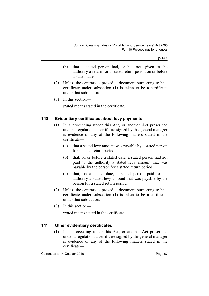[s 140]

- (b) that a stated person had, or had not, given to the authority a return for a stated return period on or before a stated date.
- (2) Unless the contrary is proved, a document purporting to be a certificate under subsection (1) is taken to be a certificate under that subsection.
- (3) In this section—

*stated* means stated in the certificate.

### **140 Evidentiary certificates about levy payments**

- (1) In a proceeding under this Act, or another Act prescribed under a regulation, a certificate signed by the general manager is evidence of any of the following matters stated in the certificate—
	- (a) that a stated levy amount was payable by a stated person for a stated return period;
	- (b) that, on or before a stated date, a stated person had not paid to the authority a stated levy amount that was payable by the person for a stated return period;
	- (c) that, on a stated date, a stated person paid to the authority a stated levy amount that was payable by the person for a stated return period.
- (2) Unless the contrary is proved, a document purporting to be a certificate under subsection (1) is taken to be a certificate under that subsection.
- (3) In this section—

*stated* means stated in the certificate.

## **141 Other evidentiary certificates**

(1) In a proceeding under this Act, or another Act prescribed under a regulation, a certificate signed by the general manager is evidence of any of the following matters stated in the certificate—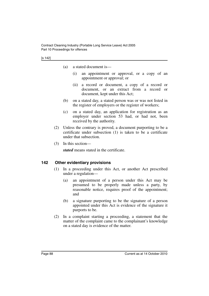- (a) a stated document is—
	- (i) an appointment or approval, or a copy of an appointment or approval; or
	- (ii) a record or document, a copy of a record or document, or an extract from a record or document, kept under this Act;
- (b) on a stated day, a stated person was or was not listed in the register of employers or the register of workers;
- (c) on a stated day, an application for registration as an employer under section 53 had, or had not, been received by the authority.
- (2) Unless the contrary is proved, a document purporting to be a certificate under subsection (1) is taken to be a certificate under that subsection.
- (3) In this section—

*stated* means stated in the certificate.

#### **142 Other evidentiary provisions**

- (1) In a proceeding under this Act, or another Act prescribed under a regulation—
	- (a) an appointment of a person under this Act may be presumed to be properly made unless a party, by reasonable notice, requires proof of the appointment; and
	- (b) a signature purporting to be the signature of a person appointed under this Act is evidence of the signature it purports to be.
- (2) In a complaint starting a proceeding, a statement that the matter of the complaint came to the complainant's knowledge on a stated day is evidence of the matter.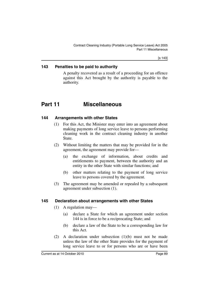#### **143 Penalties to be paid to authority**

A penalty recovered as a result of a proceeding for an offence against this Act brought by the authority is payable to the authority.

# **Part 11 Miscellaneous**

#### **144 Arrangements with other States**

- (1) For this Act, the Minister may enter into an agreement about making payments of long service leave to persons performing cleaning work in the contract cleaning industry in another State.
- (2) Without limiting the matters that may be provided for in the agreement, the agreement may provide for—
	- (a) the exchange of information, about credits and entitlements to payment, between the authority and an entity in the other State with similar functions; and
	- (b) other matters relating to the payment of long service leave to persons covered by the agreement.
- (3) The agreement may be amended or repealed by a subsequent agreement under subsection (1).

#### **145 Declaration about arrangements with other States**

- (1) A regulation may—
	- (a) declare a State for which an agreement under section 144 is in force to be a reciprocating State; and
	- (b) declare a law of the State to be a corresponding law for this Act.
- (2) A declaration under subsection (1)(b) must not be made unless the law of the other State provides for the payment of long service leave to or for persons who are or have been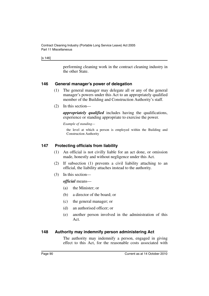#### [s 146]

performing cleaning work in the contract cleaning industry in the other State.

#### **146 General manager's power of delegation**

- (1) The general manager may delegate all or any of the general manager's powers under this Act to an appropriately qualified member of the Building and Construction Authority's staff.
- (2) In this section—

*appropriately qualified* includes having the qualifications, experience or standing appropriate to exercise the power.

*Example of standing—*

the level at which a person is employed within the Building and Construction Authority

#### **147 Protecting officials from liability**

- (1) An official is not civilly liable for an act done, or omission made, honestly and without negligence under this Act.
- (2) If subsection (1) prevents a civil liability attaching to an official, the liability attaches instead to the authority.
- (3) In this section—

*official* means—

- (a) the Minister; or
- (b) a director of the board; or
- (c) the general manager; or
- (d) an authorised officer; or
- (e) another person involved in the administration of this Act.

#### **148 Authority may indemnify person administering Act**

The authority may indemnify a person, engaged in giving effect to this Act, for the reasonable costs associated with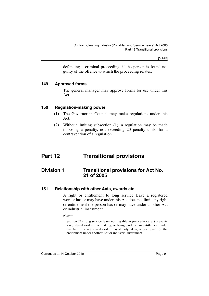[s 149]

defending a criminal proceeding, if the person is found not guilty of the offence to which the proceeding relates.

#### **149 Approved forms**

The general manager may approve forms for use under this Act.

#### **150 Regulation-making power**

- (1) The Governor in Council may make regulations under this Act.
- (2) Without limiting subsection (1), a regulation may be made imposing a penalty, not exceeding 20 penalty units, for a contravention of a regulation.

# **Part 12 Transitional provisions**

## **Division 1 Transitional provisions for Act No. 21 of 2005**

#### **151 Relationship with other Acts, awards etc.**

A right or entitlement to long service leave a registered worker has or may have under this Act does not limit any right or entitlement the person has or may have under another Act or industrial instrument.

*Note—*

Section 74 (Long service leave not payable in particular cases) prevents a registered worker from taking, or being paid for, an entitlement under this Act if the registered worker has already taken, or been paid for, the entitlement under another Act or industrial instrument.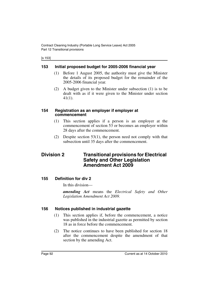Contract Cleaning Industry (Portable Long Service Leave) Act 2005 Part 12 Transitional provisions

[s 153]

#### **153 Initial proposed budget for 2005-2006 financial year**

- (1) Before 1 August 2005, the authority must give the Minister the details of its proposed budget for the remainder of the 2005-2006 financial year.
- (2) A budget given to the Minister under subsection (1) is to be dealt with as if it were given to the Minister under section 41(1).

#### **154 Registration as an employer if employer at commencement**

- (1) This section applies if a person is an employer at the commencement of section 53 or becomes an employer within 28 days after the commencement.
- (2) Despite section 53(1), the person need not comply with that subsection until 35 days after the commencement.

## **Division 2 Transitional provisions for Electrical Safety and Other Legislation Amendment Act 2009**

#### **155 Definition for div 2**

In this division—

*amending Act* means the *Electrical Safety and Other Legislation Amendment Act 2009.*

## **156 Notices published in industrial gazette**

- (1) This section applies if, before the commencement, a notice was published in the industrial gazette as permitted by section 18 as in force before the commencement.
- (2) The notice continues to have been published for section 18 after the commencement despite the amendment of that section by the amending Act.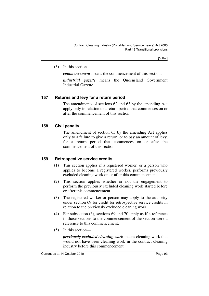(3) In this section—

*commencement* means the commencement of this section.

*industrial gazette* means the Queensland Government Industrial Gazette.

## **157 Returns and levy for a return period**

The amendments of sections 62 and 63 by the amending Act apply only in relation to a return period that commences on or after the commencement of this section.

## **158 Civil penalty**

The amendment of section 65 by the amending Act applies only to a failure to give a return, or to pay an amount of levy, for a return period that commences on or after the commencement of this section.

## **159 Retrospective service credits**

- (1) This section applies if a registered worker, or a person who applies to become a registered worker, performs previously excluded cleaning work on or after this commencement.
- (2) This section applies whether or not the engagement to perform the previously excluded cleaning work started before or after this commencement.
- (3) The registered worker or person may apply to the authority under section 69 for credit for retrospective service credits in relation to the previously excluded cleaning work.
- (4) For subsection (3), sections 69 and 70 apply as if a reference in those sections to the commencement of the section were a reference to this commencement.
- (5) In this section—

*previously excluded cleaning work* means cleaning work that would not have been cleaning work in the contract cleaning industry before this commencement.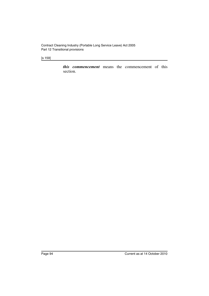[s 159]

*this commencement* means the commencement of this section.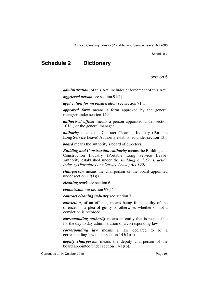Schedule 2

# **Schedule 2 Dictionary**

section 5

*administration*, of this Act, includes enforcement of this Act.

*aggrieved person* see section 91(1).

*application for reconsideration* see section 91(1).

*approved form* means a form approved by the general manager under section 149.

*authorised officer* means a person appointed under section 101(1) or the general manager.

*authority* means the Contract Cleaning Industry (Portable Long Service Leave) Authority established under section 13.

*board* means the authority's board of directors.

*Building and Construction Authority* means the Building and Construction Industry (Portable Long Service Leave) Authority established under the *Building and Construction Industry (Portable Long Service Leave) Act 1991.*

*chairperson* means the chairperson of the board appointed under section  $17(1)(a)$ .

*cleaning work* see section 6.

*commission* see section 97(1).

*contract cleaning industry* see section 7.

*conviction*, of an offence*,* means being found guilty of the offence, on a plea of guilty or otherwise, whether or not a conviction is recorded.

*corresponding authority* means an entity that is responsible for the day to day administration of a corresponding law.

*corresponding law* means a law declared to be a corresponding law under section 145(1)(b).

*deputy chairperson* means the deputy chairperson of the board appointed under section 17(1)(b).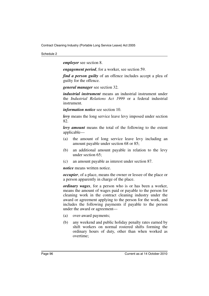#### Schedule 2

*employer* see section 8.

*engagement period*, for a worker, see section 59.

*find a person guilty* of an offence includes accept a plea of guilty for the offence.

*general manager* see section 32.

*industrial instrument* means an industrial instrument under the *Industrial Relations Act 1999* or a federal industrial instrument.

*information notice* see section 10.

*levy* means the long service leave levy imposed under section 82.

*levy amount* means the total of the following to the extent applicable—

- (a) the amount of long service leave levy including an amount payable under section 68 or 85;
- (b) an additional amount payable in relation to the levy under section 65;
- (c) an amount payable as interest under section 87.

*notice* means written notice.

*occupier*, of a place, means the owner or lessee of the place or a person apparently in charge of the place.

*ordinary wages*, for a person who is or has been a worker, means the amount of wages paid or payable to the person for cleaning work in the contract cleaning industry under the award or agreement applying to the person for the work, and includes the following payments if payable to the person under the award or agreement—

- (a) over-award payments;
- (b) any weekend and public holiday penalty rates earned by shift workers on normal rostered shifts forming the ordinary hours of duty, other than when worked as overtime;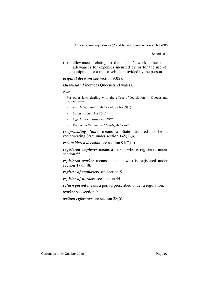Schedule 2

(c) allowances relating to the person's work, other than allowances for expenses incurred by, or for the use of, equipment or a motor vehicle provided by the person.

*original decision* see section 90(2).

*Queensland* includes Queensland waters.

*Note—*

For other laws dealing with the effect of legislation in Queensland waters see—

- *Acts Interpretation Act 1954*, section 9(1)
- *Crimes at Sea Act 2001*
- *Off-shore Facilities Act 1986*
- *Petroleum (Submerged Lands) Act 1982*

*reciprocating State* means a State declared to be a reciprocating State under section 145(1)(a).

*reconsidered decision* see section 91(7)(c).

*registered employer* means a person who is registered under section 55.

*registered worker* means a person who is registered under section 47 or 48.

*register of employers* see section 51.

*register of workers* see section 44.

*return period* means a period prescribed under a regulation.

*worker* see section 9.

*written reference* see section 28(6).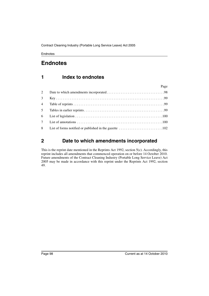# **Endnotes**

# **1 Index to endnotes**

|                | Page |
|----------------|------|
| 2              |      |
| 3 <sup>7</sup> |      |
|                |      |
| 5 <sup>5</sup> |      |
|                |      |
|                |      |
|                |      |

# <span id="page-99-0"></span>**2 Date to which amendments incorporated**

This is the reprint date mentioned in the Reprints Act 1992, section 5(c). Accordingly, this reprint includes all amendments that commenced operation on or before 14 October 2010. Future amendments of the Contract Cleaning Industry (Portable Long Service Leave) Act 2005 may be made in accordance with this reprint under the Reprints Act 1992, section 49.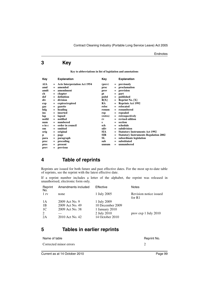# <span id="page-100-0"></span>**3 Key**

**Key to abbreviations in list of legislation and annotations**

| Key    |     | <b>Explanation</b>                  | Kev        |     | <b>Explanation</b>                           |
|--------|-----|-------------------------------------|------------|-----|----------------------------------------------|
| AIA    | $=$ | <b>Acts Interpretation Act 1954</b> | (prev)     | $=$ | previously                                   |
| amd    | $=$ | amended                             | proc       | $=$ | proclamation                                 |
| amdt   | $=$ | amendment                           | prov       | $=$ | provision                                    |
| ch     | $=$ | chapter                             | рt         | $=$ | part                                         |
| def    | $=$ | definition                          | pubd       | $=$ | published                                    |
| div    | $=$ | division                            | R[X]       | $=$ | <b>Reprint No.</b> $[X]$                     |
| exp    | $=$ | expires/expired                     | <b>RA</b>  |     | <b>Reprints Act 1992</b>                     |
| gaz    | $=$ | gazette                             | reloc      | $=$ | relocated                                    |
| hdg    | $=$ | heading                             | renum      | $=$ | renumbered                                   |
| ins    | $=$ | inserted                            | rep        | $=$ | repealed                                     |
| lap    | $=$ | lapsed                              | (retro)    | $=$ | retrospectively                              |
| notfd  | $=$ | notified                            | rv         |     | revised edition                              |
| num    | $=$ | numbered                            | s          | $=$ | section                                      |
| o in c | $=$ | order in council                    | sch        | $=$ | schedule                                     |
| om     | $=$ | omitted                             | sdiv       | $=$ | subdivision                                  |
| orig   | $=$ | original                            | SIA.       |     | <b>Statutory Instruments Act 1992</b>        |
| p      | $=$ | page                                | <b>SIR</b> |     | <b>Statutory Instruments Regulation 2002</b> |
| para   | $=$ | paragraph                           | SL         | $=$ | subordinate legislation                      |
| prec   | $=$ | preceding                           | sub        |     | substituted                                  |
| pres   | $=$ | present                             | unnum      |     | unnumbered                                   |
| prev   | $=$ | previous                            |            |     |                                              |

## <span id="page-100-1"></span>**4 Table of reprints**

Reprints are issued for both future and past effective dates. For the most up-to-date table of reprints, see the reprint with the latest effective date.

If a reprint number includes a letter of the alphabet, the reprint was released in unauthorised, electronic form only.

| Reprint<br>No.  | Amendments included | Effective        | <b>Notes</b>                       |
|-----------------|---------------------|------------------|------------------------------------|
| 1 <sub>rv</sub> | none                | 1 July 2005      | Revision notice issued<br>for $R1$ |
| 1 A             | 2009 Act No. 9      | 1 July 2009      |                                    |
| 1B              | 2009 Act No. 49     | 10 December 2009 |                                    |
| 1C              | 2009 Act No. 38     | 1 January 2010   |                                    |
| 2               |                     | 2 July 2010      | provexp 1 July 2010                |
| 2A              | 2010 Act No. 42     | 14 October 2010  |                                    |

## **5 Tables in earlier reprints**

| Name of table          | Reprint No. |
|------------------------|-------------|
| Corrected minor errors |             |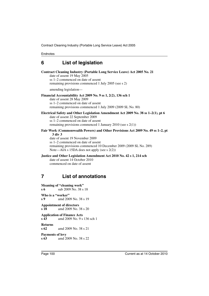## <span id="page-101-1"></span>**6 List of legislation**

#### **Contract Cleaning Industry (Portable Long Service Leave) Act 2005 No. 21**

date of assent 19 May 2005 ss 1–2 commenced on date of assent remaining provisions commenced 1 July 2005 (see s 2)

amending legislation—

#### **Financial Accountability Act 2009 No. 9 ss 1, 2(2), 136 sch 1**

date of assent 28 May 2009 ss 1–2 commenced on date of assent remaining provisions commenced 1 July 2009 (2009 SL No. 80)

#### **Electrical Safety and Other Legislation Amendment Act 2009 No. 38 ss 1–2(1), pt 6**

date of assent 22 September 2009 ss 1–2 commenced on date of assent remaining provisions commenced 1 January 2010 (see s 2(1))

#### **Fair Work (Commonwealth Powers) and Other Provisions Act 2009 No. 49 ss 1–2, pt 3 div 3**

date of assent 19 November 2009 ss 1–2 commenced on date of assent remaining provisions commenced 10 December 2009 (2009 SL No. 289) Note—AIA s 15DA does not apply (see s 2(2))

#### **Justice and Other Legislation Amendment Act 2010 No. 42 s 1, 214 sch** date of assent 14 October 2010 commenced on date of assent

# <span id="page-101-0"></span>**7 List of annotations**

**Meaning of "cleaning work" s 6** sub 2009 No. 38 s 18

**Who is a "worker" s 9** amd 2009 No. 38 s 19

**Appointment of directors s 18** amd 2009 No. 38 s 20

**Application of Finance Acts**

**s 43** amd 2009 No. 9 s 136 sch 1

#### **Returns**

**s 62** amd 2009 No. 38 s 21

#### **Payments of levy**

**s 63** amd 2009 No. 38 s 22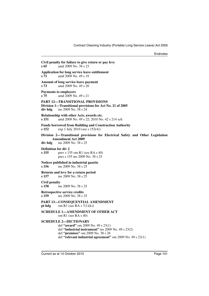| s 65                                 | Civil penalty for failure to give return or pay levy<br>amd 2009 No. 38 s 23                                                                                                                                                    |
|--------------------------------------|---------------------------------------------------------------------------------------------------------------------------------------------------------------------------------------------------------------------------------|
| s 71                                 | <b>Application for long service leave entitlement</b><br>amd 2009 No. 49 s 19                                                                                                                                                   |
| s <sub>73</sub>                      | <b>Amount of long service leave payment</b><br>amd 2009 No. 49 s 20                                                                                                                                                             |
| s 75                                 | <b>Payments to employers</b><br>amd 2009 No. 49 s 21                                                                                                                                                                            |
| div hdg                              | PART 12—TRANSITIONAL PROVISIONS<br>Division 1—Transitional provisions for Act No. 21 of 2005<br>ins 2009 No. 38 s 24                                                                                                            |
| s 151                                | Relationship with other Acts, awards etc.<br>amd 2009 No. 49 s 22; 2010 No. 42 s 214 sch                                                                                                                                        |
| s 152                                | <b>Funds borrowed from Building and Construction Authority</b><br>exp 1 July 2010 (see s 152(4))                                                                                                                                |
| div hdg                              | Division 2—Transitional provisions for Electrical Safety and Other Legislation<br><b>Amendment Act 2009</b><br>ins 2009 No. 38 s 25                                                                                             |
| <b>Definition for div 2</b><br>s 155 | prev s $155$ om R1 (see RA s 40)<br>pres s 155 ins 2009 No. 38 s 25                                                                                                                                                             |
| s 156                                | Notices published in industrial gazette<br>ins 2009 No. 38 s 25                                                                                                                                                                 |
| s 157                                | Returns and levy for a return period<br>ins 2009 No. 38 s 25                                                                                                                                                                    |
| Civil penalty<br>s 158               | ins 2009 No. 38 s 25                                                                                                                                                                                                            |
| s 159                                | <b>Retrospective service credits</b><br>ins 2009 No. 38 s 25                                                                                                                                                                    |
| pt hdg                               | PART 13-CONSEQUENTIAL AMENDMENT<br>om R1 (see RA s $7(1)(k)$ )                                                                                                                                                                  |
|                                      | SCHEDULE 1—AMENDMENT OF OTHER ACT<br>om R1 (see RA s 40)                                                                                                                                                                        |
|                                      | <b>SCHEDULE 2-DICTIONARY</b><br>def "award" om 2009 No. 49 s 23(1)<br>def "industrial instrument" ins 2009 No. 49 s $23(2)$<br>def "premises" om 2009 No. 38 s 26<br>def "relevant industrial agreement" om 2009 No. 49 s 23(1) |
|                                      |                                                                                                                                                                                                                                 |